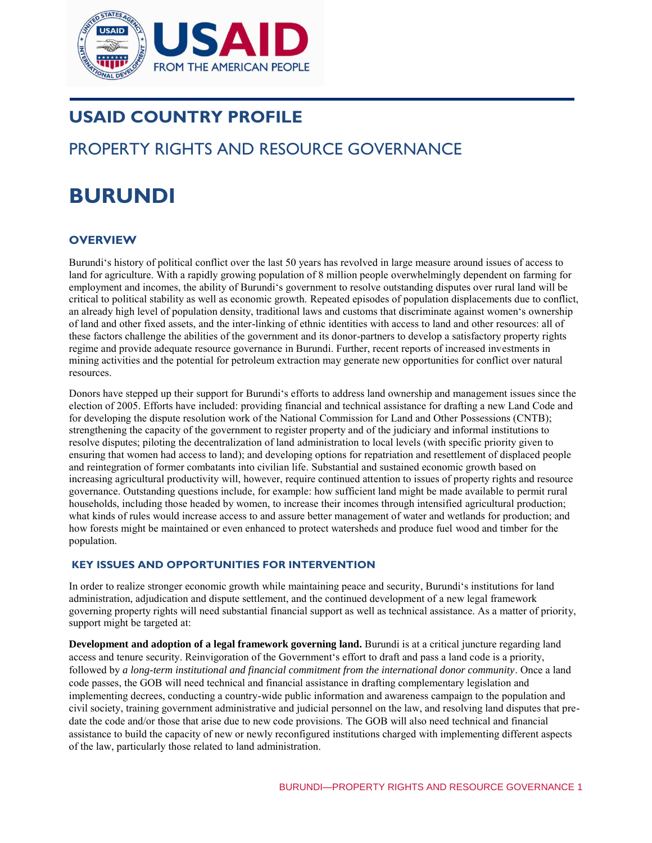

# **USAID COUNTRY PROFILE**

# PROPERTY RIGHTS AND RESOURCE GOVERNANCE

# **BURUNDI**

# **OVERVIEW**

Burundi's history of political conflict over the last 50 years has revolved in large measure around issues of access to land for agriculture. With a rapidly growing population of 8 million people overwhelmingly dependent on farming for employment and incomes, the ability of Burundi's government to resolve outstanding disputes over rural land will be critical to political stability as well as economic growth. Repeated episodes of population displacements due to conflict, an already high level of population density, traditional laws and customs that discriminate against women's ownership of land and other fixed assets, and the inter-linking of ethnic identities with access to land and other resources: all of these factors challenge the abilities of the government and its donor-partners to develop a satisfactory property rights regime and provide adequate resource governance in Burundi. Further, recent reports of increased investments in mining activities and the potential for petroleum extraction may generate new opportunities for conflict over natural resources.

Donors have stepped up their support for Burundi's efforts to address land ownership and management issues since the election of 2005. Efforts have included: providing financial and technical assistance for drafting a new Land Code and for developing the dispute resolution work of the National Commission for Land and Other Possessions (CNTB); strengthening the capacity of the government to register property and of the judiciary and informal institutions to resolve disputes; piloting the decentralization of land administration to local levels (with specific priority given to ensuring that women had access to land); and developing options for repatriation and resettlement of displaced people and reintegration of former combatants into civilian life. Substantial and sustained economic growth based on increasing agricultural productivity will, however, require continued attention to issues of property rights and resource governance. Outstanding questions include, for example: how sufficient land might be made available to permit rural households, including those headed by women, to increase their incomes through intensified agricultural production; what kinds of rules would increase access to and assure better management of water and wetlands for production; and how forests might be maintained or even enhanced to protect watersheds and produce fuel wood and timber for the population.

#### **KEY ISSUES AND OPPORTUNITIES FOR INTERVENTION**

In order to realize stronger economic growth while maintaining peace and security, Burundi's institutions for land administration, adjudication and dispute settlement, and the continued development of a new legal framework governing property rights will need substantial financial support as well as technical assistance. As a matter of priority, support might be targeted at:

**Development and adoption of a legal framework governing land.** Burundi is at a critical juncture regarding land access and tenure security. Reinvigoration of the Government's effort to draft and pass a land code is a priority, followed by *a long-term institutional and financial commitment from the international donor community*. Once a land code passes, the GOB will need technical and financial assistance in drafting complementary legislation and implementing decrees, conducting a country-wide public information and awareness campaign to the population and civil society, training government administrative and judicial personnel on the law, and resolving land disputes that predate the code and/or those that arise due to new code provisions. The GOB will also need technical and financial assistance to build the capacity of new or newly reconfigured institutions charged with implementing different aspects of the law, particularly those related to land administration.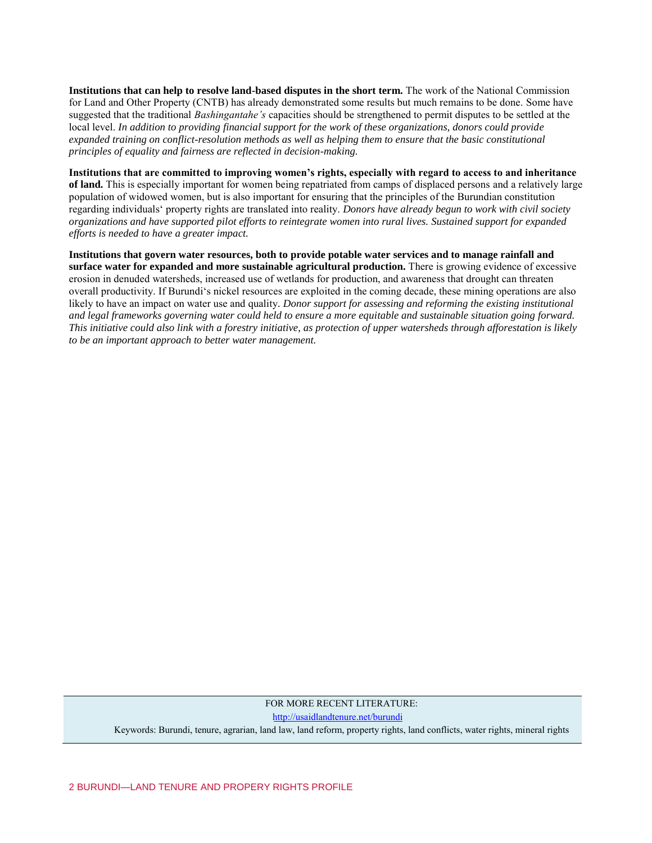**Institutions that can help to resolve land-based disputes in the short term.** The work of the National Commission for Land and Other Property (CNTB) has already demonstrated some results but much remains to be done. Some have suggested that the traditional *Bashingantahe's* capacities should be strengthened to permit disputes to be settled at the local level. *In addition to providing financial support for the work of these organizations, donors could provide expanded training on conflict-resolution methods as well as helping them to ensure that the basic constitutional principles of equality and fairness are reflected in decision-making.* 

**Institutions that are committed to improving women's rights, especially with regard to access to and inheritance of land.** This is especially important for women being repatriated from camps of displaced persons and a relatively large population of widowed women, but is also important for ensuring that the principles of the Burundian constitution regarding individuals' property rights are translated into reality. *Donors have already begun to work with civil society organizations and have supported pilot efforts to reintegrate women into rural lives. Sustained support for expanded efforts is needed to have a greater impact.*

**Institutions that govern water resources, both to provide potable water services and to manage rainfall and surface water for expanded and more sustainable agricultural production.** There is growing evidence of excessive erosion in denuded watersheds, increased use of wetlands for production, and awareness that drought can threaten overall productivity. If Burundi's nickel resources are exploited in the coming decade, these mining operations are also likely to have an impact on water use and quality*. Donor support for assessing and reforming the existing institutional and legal frameworks governing water could held to ensure a more equitable and sustainable situation going forward. This initiative could also link with a forestry initiative, as protection of upper watersheds through afforestation is likely to be an important approach to better water management.* 

# FOR MORE RECENT LITERATURE: <http://usaidlandtenure.net/burundi> Keywords: Burundi, tenure, agrarian, land law, land reform, property rights, land conflicts, water rights, mineral rights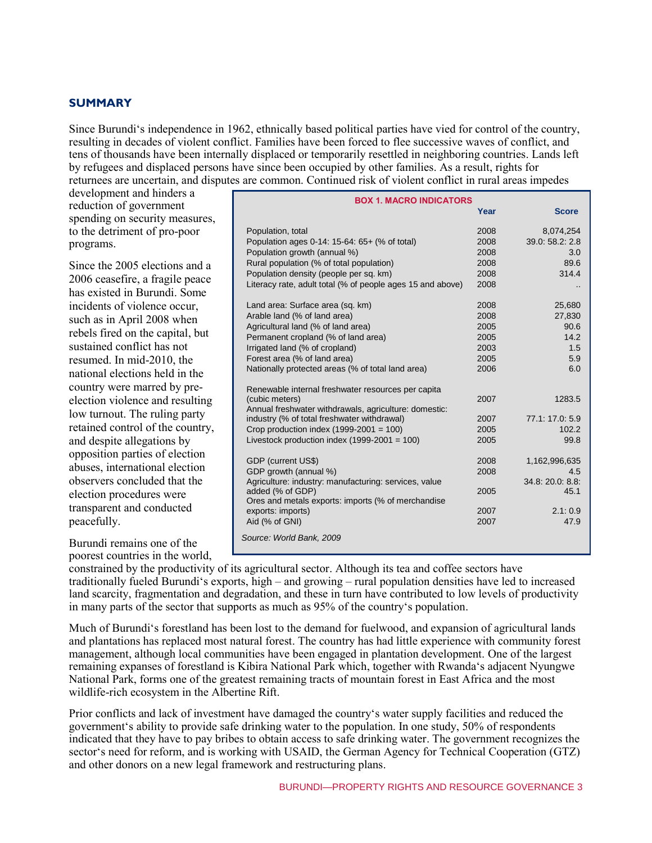# **SUMMARY**

Since Burundi's independence in 1962, ethnically based political parties have vied for control of the country, resulting in decades of violent conflict. Families have been forced to flee successive waves of conflict, and tens of thousands have been internally displaced or temporarily resettled in neighboring countries. Lands left by refugees and displaced persons have since been occupied by other families. As a result, rights for returnees are uncertain, and disputes are common. Continued risk of violent conflict in rural areas impedes

development and hinders a reduction of government spending on security measures, to the detriment of pro-poor programs.

Since the 2005 elections and a 2006 ceasefire, a fragile peace has existed in Burundi. Some incidents of violence occur, such as in April 2008 when rebels fired on the capital, but sustained conflict has not resumed. In mid-2010, the national elections held in the country were marred by preelection violence and resulting low turnout. The ruling party retained control of the country, and despite allegations by opposition parties of election abuses, international election observers concluded that the election procedures were transparent and conducted peacefully.

Burundi remains one of the poorest countries in the world,

| <b>BOX 1. MACRO INDICATORS</b>                             |      |                 |  |  |
|------------------------------------------------------------|------|-----------------|--|--|
|                                                            | Year | <b>Score</b>    |  |  |
| Population, total                                          | 2008 | 8,074,254       |  |  |
| Population ages 0-14: 15-64: 65+ (% of total)              | 2008 | 39.0: 58.2: 2.8 |  |  |
| Population growth (annual %)                               | 2008 | 3.0             |  |  |
| Rural population (% of total population)                   | 2008 | 89.6            |  |  |
| Population density (people per sq. km)                     | 2008 | 314.4           |  |  |
| Literacy rate, adult total (% of people ages 15 and above) | 2008 |                 |  |  |
| Land area: Surface area (sq. km)                           | 2008 | 25,680          |  |  |
| Arable land (% of land area)                               | 2008 | 27,830          |  |  |
| Agricultural land (% of land area)                         | 2005 | 90.6            |  |  |
| Permanent cropland (% of land area)                        | 2005 | 14.2            |  |  |
| Irrigated land (% of cropland)                             | 2003 | 1.5             |  |  |
| Forest area (% of land area)                               | 2005 | 5.9             |  |  |
| Nationally protected areas (% of total land area)          | 2006 | 6.0             |  |  |
| Renewable internal freshwater resources per capita         |      |                 |  |  |
| (cubic meters)                                             | 2007 | 1283.5          |  |  |
| Annual freshwater withdrawals, agriculture: domestic:      |      |                 |  |  |
| industry (% of total freshwater withdrawal)                | 2007 | 77.1: 17.0: 5.9 |  |  |
| Crop production index $(1999-2001 = 100)$                  | 2005 | 102.2           |  |  |
| Livestock production index $(1999-2001 = 100)$             | 2005 | 99.8            |  |  |
| GDP (current US\$)                                         | 2008 | 1,162,996,635   |  |  |
| GDP growth (annual %)                                      | 2008 | 4.5             |  |  |
| Agriculture: industry: manufacturing: services, value      |      | 34.8:20.0:8.8   |  |  |
| added (% of GDP)                                           | 2005 | 45.1            |  |  |
| Ores and metals exports: imports (% of merchandise         |      |                 |  |  |
| exports: imports)                                          | 2007 | 2.1:0.9         |  |  |
| Aid (% of GNI)                                             | 2007 | 47.9            |  |  |
| Source: World Bank, 2009                                   |      |                 |  |  |

constrained by the productivity of its agricultural sector. Although its tea and coffee sectors have traditionally fueled Burundi's exports, high – and growing – rural population densities have led to increased land scarcity, fragmentation and degradation, and these in turn have contributed to low levels of productivity in many parts of the sector that supports as much as 95% of the country's population.

Much of Burundi's forestland has been lost to the demand for fuelwood, and expansion of agricultural lands and plantations has replaced most natural forest. The country has had little experience with community forest management, although local communities have been engaged in plantation development. One of the largest remaining expanses of forestland is Kibira National Park which, together with Rwanda's adjacent Nyungwe National Park, forms one of the greatest remaining tracts of mountain forest in East Africa and the most wildlife-rich ecosystem in the Albertine Rift.

Prior conflicts and lack of investment have damaged the country's water supply facilities and reduced the government's ability to provide safe drinking water to the population. In one study, 50% of respondents indicated that they have to pay bribes to obtain access to safe drinking water. The government recognizes the sector's need for reform, and is working with USAID, the German Agency for Technical Cooperation (GTZ) and other donors on a new legal framework and restructuring plans.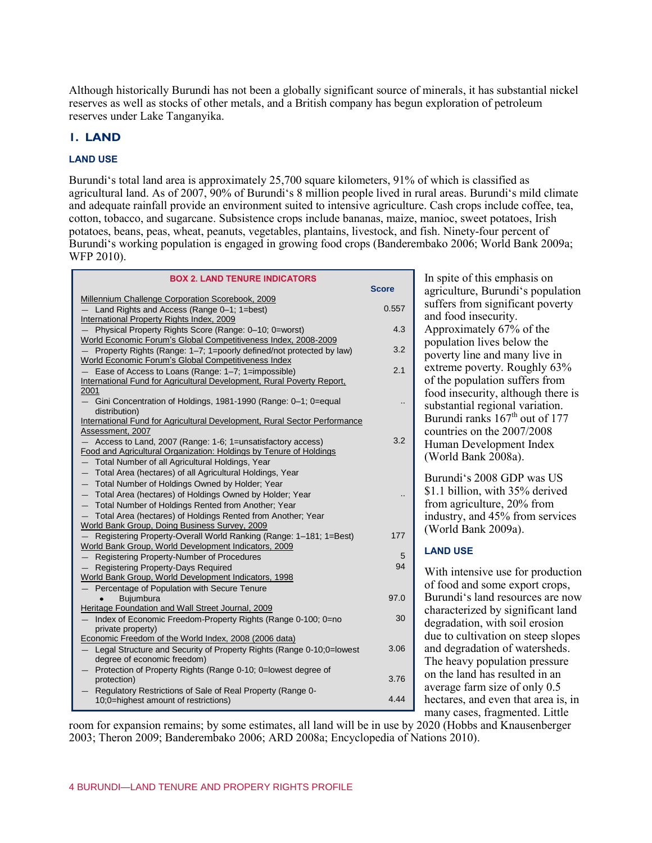Although historically Burundi has not been a globally significant source of minerals, it has substantial nickel reserves as well as stocks of other metals, and a British company has begun exploration of petroleum reserves under Lake Tanganyika.

## **1. LAND**

#### **LAND USE**

Burundi's total land area is approximately 25,700 square kilometers, 91% of which is classified as agricultural land. As of 2007, 90% of Burundi's 8 million people lived in rural areas. Burundi's mild climate and adequate rainfall provide an environment suited to intensive agriculture. Cash crops include coffee, tea, cotton, tobacco, and sugarcane. Subsistence crops include bananas, maize, manioc, sweet potatoes, Irish potatoes, beans, peas, wheat, peanuts, vegetables, plantains, livestock, and fish. Ninety-four percent of Burundi's working population is engaged in growing food crops (Banderembako 2006; World Bank 2009a; WFP 2010).

| <b>BOX 2. LAND TENURE INDICATORS</b>                                                                |              |
|-----------------------------------------------------------------------------------------------------|--------------|
|                                                                                                     | <b>Score</b> |
| Millennium Challenge Corporation Scorebook, 2009<br>- Land Rights and Access (Range 0-1; 1=best)    | 0.557        |
| International Property Rights Index, 2009                                                           |              |
| Physical Property Rights Score (Range: 0-10; 0=worst)                                               | 4.3          |
| World Economic Forum's Global Competitiveness Index, 2008-2009                                      |              |
| Property Rights (Range: 1–7; 1=poorly defined/not protected by law)                                 | 3.2          |
| World Economic Forum's Global Competitiveness Index                                                 |              |
| - Ease of Access to Loans (Range: 1-7; 1=impossible)                                                | 2.1          |
| International Fund for Agricultural Development, Rural Poverty Report,                              |              |
| 2001                                                                                                |              |
| - Gini Concentration of Holdings, 1981-1990 (Range: 0-1; 0=equal<br>distribution)                   |              |
| International Fund for Agricultural Development, Rural Sector Performance                           |              |
| Assessment, 2007                                                                                    |              |
| - Access to Land, 2007 (Range: 1-6; 1=unsatisfactory access)                                        | 3.2          |
| Food and Agricultural Organization: Holdings by Tenure of Holdings                                  |              |
| - Total Number of all Agricultural Holdings, Year                                                   |              |
| - Total Area (hectares) of all Agricultural Holdings, Year                                          |              |
| Total Number of Holdings Owned by Holder; Year                                                      |              |
| - Total Area (hectares) of Holdings Owned by Holder; Year                                           |              |
| Total Number of Holdings Rented from Another; Year                                                  |              |
| Total Area (hectares) of Holdings Rented from Another; Year                                         |              |
| World Bank Group, Doing Business Survey, 2009                                                       |              |
| Registering Property-Overall World Ranking (Range: 1-181; 1=Best)                                   | 177          |
| World Bank Group, World Development Indicators, 2009                                                |              |
| - Registering Property-Number of Procedures                                                         | 5<br>94      |
| Registering Property-Days Required                                                                  |              |
| World Bank Group, World Development Indicators, 1998<br>Percentage of Population with Secure Tenure |              |
| <b>Buiumbura</b>                                                                                    | 97.0         |
| Heritage Foundation and Wall Street Journal, 2009                                                   |              |
| Index of Economic Freedom-Property Rights (Range 0-100; 0=no                                        | 30           |
| private property)                                                                                   |              |
| Economic Freedom of the World Index, 2008 (2006 data)                                               |              |
| Legal Structure and Security of Property Rights (Range 0-10;0=lowest                                | 3.06         |
| degree of economic freedom)                                                                         |              |
| Protection of Property Rights (Range 0-10; 0=lowest degree of                                       |              |
| protection)                                                                                         | 3.76         |
| Regulatory Restrictions of Sale of Real Property (Range 0-                                          |              |
| 10;0=highest amount of restrictions)                                                                | 4.44         |

In spite of this emphasis on agriculture, Burundi's population suffers from significant poverty and food insecurity. Approximately 67% of the population lives below the poverty line and many live in extreme poverty. Roughly 63% of the population suffers from food insecurity, although there is substantial regional variation. Burundi ranks  $167<sup>th</sup>$  out of 177 countries on the 2007/2008 Human Development Index (World Bank 2008a).

Burundi's 2008 GDP was US \$1.1 billion, with 35% derived from agriculture, 20% from industry, and 45% from services (World Bank 2009a).

#### **LAND USE**

With intensive use for production of food and some export crops, Burundi's land resources are now characterized by significant land degradation, with soil erosion due to cultivation on steep slopes and degradation of watersheds. The heavy population pressure on the land has resulted in an average farm size of only 0.5 hectares, and even that area is, in many cases, fragmented. Little

room for expansion remains; by some estimates, all land will be in use by 2020 (Hobbs and Knausenberger 2003; Theron 2009; Banderembako 2006; ARD 2008a; Encyclopedia of Nations 2010). —  $\mathbf{v}$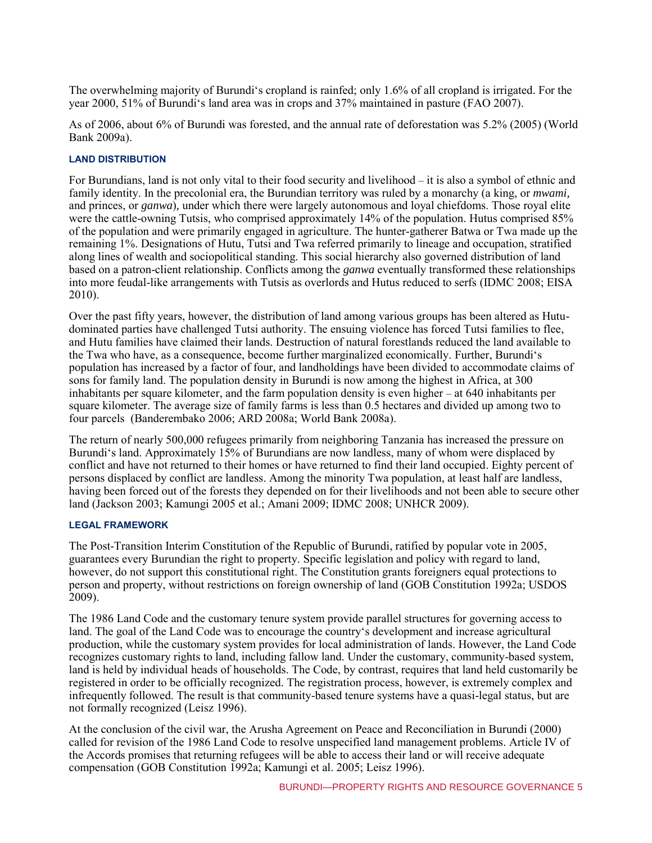The overwhelming majority of Burundi's cropland is rainfed; only 1.6% of all cropland is irrigated. For the year 2000, 51% of Burundi's land area was in crops and 37% maintained in pasture (FAO 2007).

As of 2006, about 6% of Burundi was forested, and the annual rate of deforestation was 5.2% (2005) (World Bank 2009a).

#### **LAND DISTRIBUTION**

For Burundians, land is not only vital to their food security and livelihood – it is also a symbol of ethnic and family identity. In the precolonial era, the Burundian territory was ruled by a monarchy (a king, or *mwami,*  and princes, or *ganwa*)*,* under which there were largely autonomous and loyal chiefdoms. Those royal elite were the cattle-owning Tutsis, who comprised approximately 14% of the population. Hutus comprised 85% of the population and were primarily engaged in agriculture. The hunter-gatherer Batwa or Twa made up the remaining 1%. Designations of Hutu, Tutsi and Twa referred primarily to lineage and occupation, stratified along lines of wealth and sociopolitical standing. This social hierarchy also governed distribution of land based on a patron-client relationship. Conflicts among the *ganwa* eventually transformed these relationships into more feudal-like arrangements with Tutsis as overlords and Hutus reduced to serfs (IDMC 2008; EISA 2010).

Over the past fifty years, however, the distribution of land among various groups has been altered as Hutudominated parties have challenged Tutsi authority. The ensuing violence has forced Tutsi families to flee, and Hutu families have claimed their lands. Destruction of natural forestlands reduced the land available to the Twa who have, as a consequence, become further marginalized economically. Further, Burundi's population has increased by a factor of four, and landholdings have been divided to accommodate claims of sons for family land. The population density in Burundi is now among the highest in Africa, at 300 inhabitants per square kilometer, and the farm population density is even higher – at 640 inhabitants per square kilometer. The average size of family farms is less than 0.5 hectares and divided up among two to four parcels (Banderembako 2006; ARD 2008a; World Bank 2008a).

The return of nearly 500,000 refugees primarily from neighboring Tanzania has increased the pressure on Burundi's land. Approximately 15% of Burundians are now landless, many of whom were displaced by conflict and have not returned to their homes or have returned to find their land occupied. Eighty percent of persons displaced by conflict are landless. Among the minority Twa population, at least half are landless, having been forced out of the forests they depended on for their livelihoods and not been able to secure other land (Jackson 2003; Kamungi 2005 et al.; Amani 2009; IDMC 2008; UNHCR 2009).

#### **LEGAL FRAMEWORK**

The Post-Transition Interim Constitution of the Republic of Burundi, ratified by popular vote in 2005, guarantees every Burundian the right to property. Specific legislation and policy with regard to land, however, do not support this constitutional right. The Constitution grants foreigners equal protections to person and property, without restrictions on foreign ownership of land (GOB Constitution 1992a; USDOS 2009).

The 1986 Land Code and the customary tenure system provide parallel structures for governing access to land. The goal of the Land Code was to encourage the country's development and increase agricultural production, while the customary system provides for local administration of lands. However, the Land Code recognizes customary rights to land, including fallow land. Under the customary, community-based system, land is held by individual heads of households. The Code, by contrast, requires that land held customarily be registered in order to be officially recognized. The registration process, however, is extremely complex and infrequently followed. The result is that community-based tenure systems have a quasi-legal status, but are not formally recognized (Leisz 1996).

At the conclusion of the civil war, the Arusha Agreement on Peace and Reconciliation in Burundi (2000) called for revision of the 1986 Land Code to resolve unspecified land management problems. Article IV of the Accords promises that returning refugees will be able to access their land or will receive adequate compensation (GOB Constitution 1992a; Kamungi et al. 2005; Leisz 1996).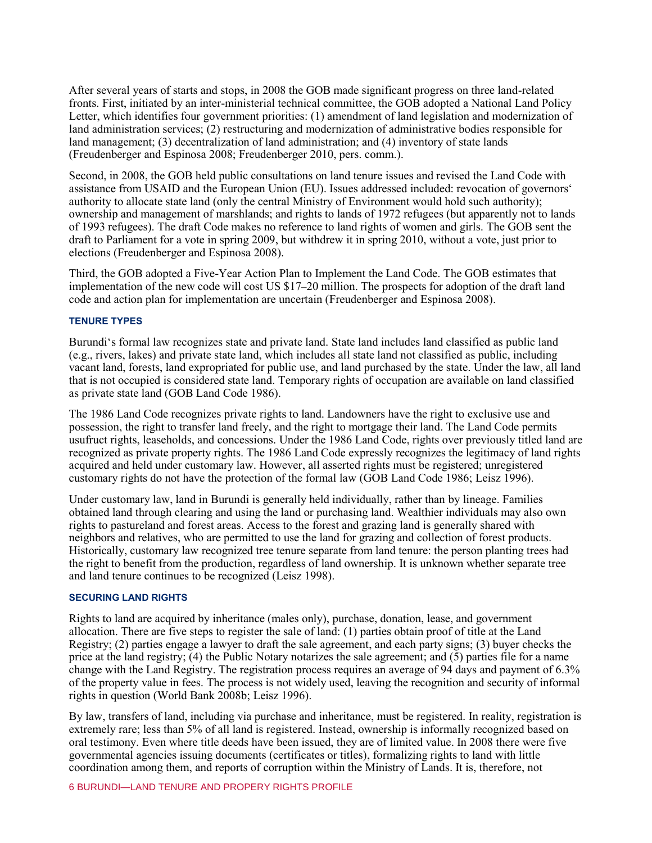After several years of starts and stops, in 2008 the GOB made significant progress on three land-related fronts. First, initiated by an inter-ministerial technical committee, the GOB adopted a National Land Policy Letter, which identifies four government priorities: (1) amendment of land legislation and modernization of land administration services; (2) restructuring and modernization of administrative bodies responsible for land management; (3) decentralization of land administration; and (4) inventory of state lands (Freudenberger and Espinosa 2008; Freudenberger 2010, pers. comm.).

Second, in 2008, the GOB held public consultations on land tenure issues and revised the Land Code with assistance from USAID and the European Union (EU). Issues addressed included: revocation of governors' authority to allocate state land (only the central Ministry of Environment would hold such authority); ownership and management of marshlands; and rights to lands of 1972 refugees (but apparently not to lands of 1993 refugees). The draft Code makes no reference to land rights of women and girls. The GOB sent the draft to Parliament for a vote in spring 2009, but withdrew it in spring 2010, without a vote, just prior to elections (Freudenberger and Espinosa 2008).

Third, the GOB adopted a Five-Year Action Plan to Implement the Land Code. The GOB estimates that implementation of the new code will cost US \$17–20 million. The prospects for adoption of the draft land code and action plan for implementation are uncertain (Freudenberger and Espinosa 2008).

#### **TENURE TYPES**

Burundi's formal law recognizes state and private land. State land includes land classified as public land (e.g., rivers, lakes) and private state land, which includes all state land not classified as public, including vacant land, forests, land expropriated for public use, and land purchased by the state. Under the law, all land that is not occupied is considered state land. Temporary rights of occupation are available on land classified as private state land (GOB Land Code 1986).

The 1986 Land Code recognizes private rights to land. Landowners have the right to exclusive use and possession, the right to transfer land freely, and the right to mortgage their land. The Land Code permits usufruct rights, leaseholds, and concessions. Under the 1986 Land Code, rights over previously titled land are recognized as private property rights. The 1986 Land Code expressly recognizes the legitimacy of land rights acquired and held under customary law. However, all asserted rights must be registered; unregistered customary rights do not have the protection of the formal law (GOB Land Code 1986; Leisz 1996).

Under customary law, land in Burundi is generally held individually, rather than by lineage. Families obtained land through clearing and using the land or purchasing land. Wealthier individuals may also own rights to pastureland and forest areas. Access to the forest and grazing land is generally shared with neighbors and relatives, who are permitted to use the land for grazing and collection of forest products. Historically, customary law recognized tree tenure separate from land tenure: the person planting trees had the right to benefit from the production, regardless of land ownership. It is unknown whether separate tree and land tenure continues to be recognized (Leisz 1998).

#### **SECURING LAND RIGHTS**

Rights to land are acquired by inheritance (males only), purchase, donation, lease, and government allocation. There are five steps to register the sale of land: (1) parties obtain proof of title at the Land Registry; (2) parties engage a lawyer to draft the sale agreement, and each party signs; (3) buyer checks the price at the land registry; (4) the Public Notary notarizes the sale agreement; and (5) parties file for a name change with the Land Registry. The registration process requires an average of 94 days and payment of 6.3% of the property value in fees. The process is not widely used, leaving the recognition and security of informal rights in question (World Bank 2008b; Leisz 1996).

By law, transfers of land, including via purchase and inheritance, must be registered. In reality, registration is extremely rare; less than 5% of all land is registered. Instead, ownership is informally recognized based on oral testimony. Even where title deeds have been issued, they are of limited value. In 2008 there were five governmental agencies issuing documents (certificates or titles), formalizing rights to land with little coordination among them, and reports of corruption within the Ministry of Lands. It is, therefore, not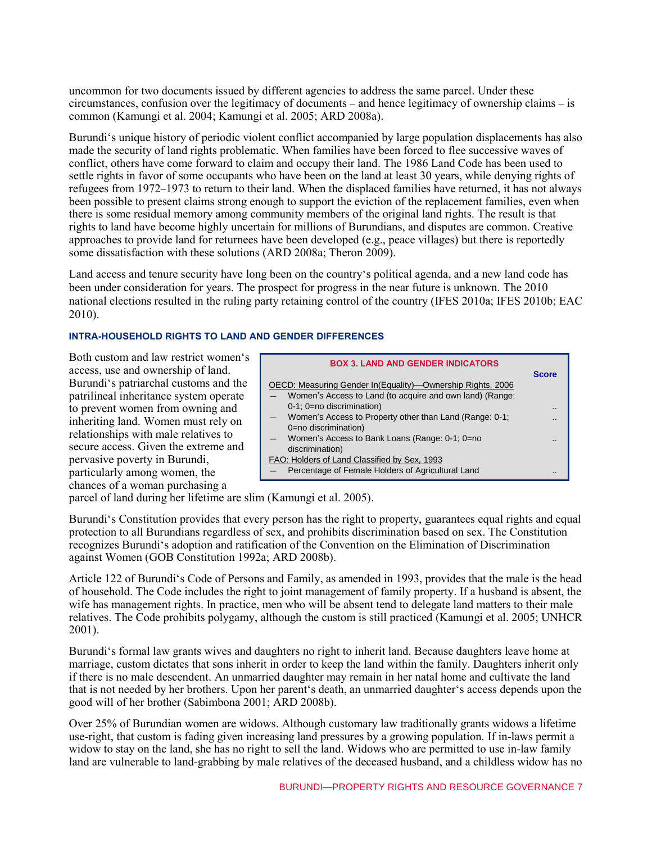uncommon for two documents issued by different agencies to address the same parcel. Under these circumstances, confusion over the legitimacy of documents – and hence legitimacy of ownership claims – is common (Kamungi et al. 2004; Kamungi et al. 2005; ARD 2008a).

Burundi's unique history of periodic violent conflict accompanied by large population displacements has also made the security of land rights problematic. When families have been forced to flee successive waves of conflict, others have come forward to claim and occupy their land. The 1986 Land Code has been used to settle rights in favor of some occupants who have been on the land at least 30 years, while denying rights of refugees from 1972–1973 to return to their land. When the displaced families have returned, it has not always been possible to present claims strong enough to support the eviction of the replacement families, even when there is some residual memory among community members of the original land rights. The result is that rights to land have become highly uncertain for millions of Burundians, and disputes are common. Creative approaches to provide land for returnees have been developed (e.g., peace villages) but there is reportedly some dissatisfaction with these solutions (ARD 2008a; Theron 2009).

Land access and tenure security have long been on the country's political agenda, and a new land code has been under consideration for years. The prospect for progress in the near future is unknown. The 2010 national elections resulted in the ruling party retaining control of the country (IFES 2010a; IFES 2010b; EAC 2010).

# **INTRA-HOUSEHOLD RIGHTS TO LAND AND GENDER DIFFERENCES**

Both custom and law restrict women's access, use and ownership of land. Burundi's patriarchal customs and the patrilineal inheritance system operate to prevent women from owning and inheriting land. Women must rely on relationships with male relatives to secure access. Given the extreme and pervasive poverty in Burundi, particularly among women, the chances of a woman purchasing a

|                                              | <b>BOX 3. LAND AND GENDER INDICATORS</b>                   |                |
|----------------------------------------------|------------------------------------------------------------|----------------|
|                                              |                                                            | <b>Score</b>   |
|                                              | OECD: Measuring Gender In(Equality)-Ownership Rights, 2006 |                |
|                                              | Women's Access to Land (to acquire and own land) (Range:   |                |
|                                              | 0-1; 0=no discrimination)                                  | $\blacksquare$ |
|                                              | Women's Access to Property other than Land (Range: 0-1;    |                |
|                                              | 0=no discrimination)                                       |                |
|                                              | Women's Access to Bank Loans (Range: 0-1; 0=no             |                |
|                                              | discrimination)                                            |                |
| FAO: Holders of Land Classified by Sex, 1993 |                                                            |                |
|                                              | Percentage of Female Holders of Agricultural Land          |                |

parcel of land during her lifetime are slim (Kamungi et al. 2005).

Burundi's Constitution provides that every person has the right to property, guarantees equal rights and equal protection to all Burundians regardless of sex, and prohibits discrimination based on sex. The Constitution recognizes Burundi's adoption and ratification of the Convention on the Elimination of Discrimination against Women (GOB Constitution 1992a; ARD 2008b).

Article 122 of Burundi's Code of Persons and Family, as amended in 1993, provides that the male is the head of household. The Code includes the right to joint management of family property. If a husband is absent, the wife has management rights. In practice, men who will be absent tend to delegate land matters to their male relatives. The Code prohibits polygamy, although the custom is still practiced (Kamungi et al. 2005; UNHCR 2001).

Burundi's formal law grants wives and daughters no right to inherit land. Because daughters leave home at marriage, custom dictates that sons inherit in order to keep the land within the family. Daughters inherit only if there is no male descendent. An unmarried daughter may remain in her natal home and cultivate the land that is not needed by her brothers. Upon her parent's death, an unmarried daughter's access depends upon the good will of her brother (Sabimbona 2001; ARD 2008b).

Over 25% of Burundian women are widows. Although customary law traditionally grants widows a lifetime use-right, that custom is fading given increasing land pressures by a growing population. If in-laws permit a widow to stay on the land, she has no right to sell the land. Widows who are permitted to use in-law family land are vulnerable to land-grabbing by male relatives of the deceased husband, and a childless widow has no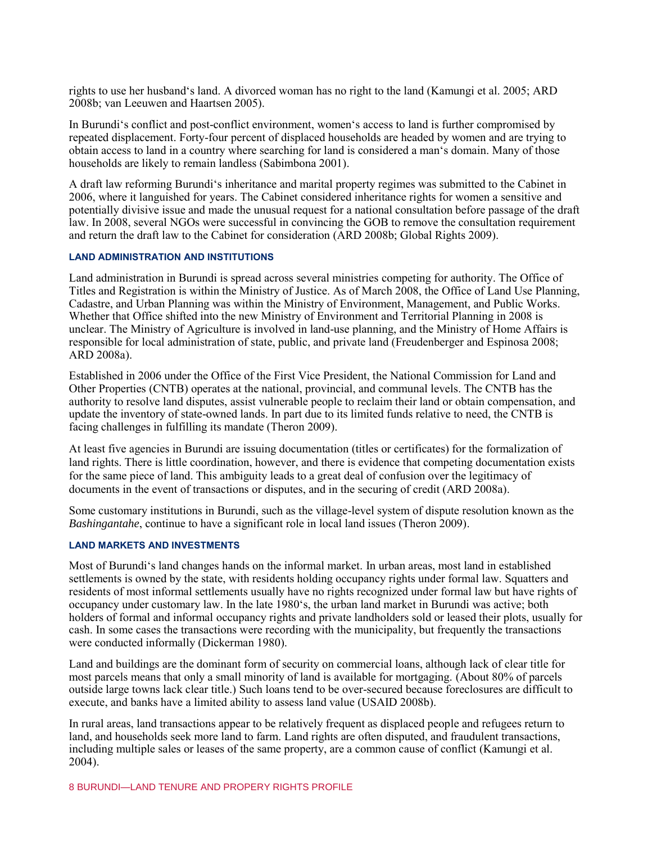rights to use her husband's land. A divorced woman has no right to the land (Kamungi et al. 2005; ARD 2008b; van Leeuwen and Haartsen 2005).

In Burundi's conflict and post-conflict environment, women's access to land is further compromised by repeated displacement. Forty-four percent of displaced households are headed by women and are trying to obtain access to land in a country where searching for land is considered a man's domain. Many of those households are likely to remain landless (Sabimbona 2001).

A draft law reforming Burundi's inheritance and marital property regimes was submitted to the Cabinet in 2006, where it languished for years. The Cabinet considered inheritance rights for women a sensitive and potentially divisive issue and made the unusual request for a national consultation before passage of the draft law. In 2008, several NGOs were successful in convincing the GOB to remove the consultation requirement and return the draft law to the Cabinet for consideration (ARD 2008b; Global Rights 2009).

#### **LAND ADMINISTRATION AND INSTITUTIONS**

Land administration in Burundi is spread across several ministries competing for authority. The Office of Titles and Registration is within the Ministry of Justice. As of March 2008, the Office of Land Use Planning, Cadastre, and Urban Planning was within the Ministry of Environment, Management, and Public Works. Whether that Office shifted into the new Ministry of Environment and Territorial Planning in 2008 is unclear. The Ministry of Agriculture is involved in land-use planning, and the Ministry of Home Affairs is responsible for local administration of state, public, and private land (Freudenberger and Espinosa 2008; ARD 2008a).

Established in 2006 under the Office of the First Vice President, the National Commission for Land and Other Properties (CNTB) operates at the national, provincial, and communal levels. The CNTB has the authority to resolve land disputes, assist vulnerable people to reclaim their land or obtain compensation, and update the inventory of state-owned lands. In part due to its limited funds relative to need, the CNTB is facing challenges in fulfilling its mandate (Theron 2009).

At least five agencies in Burundi are issuing documentation (titles or certificates) for the formalization of land rights. There is little coordination, however, and there is evidence that competing documentation exists for the same piece of land. This ambiguity leads to a great deal of confusion over the legitimacy of documents in the event of transactions or disputes, and in the securing of credit (ARD 2008a).

Some customary institutions in Burundi, such as the village-level system of dispute resolution known as the *Bashingantahe*, continue to have a significant role in local land issues (Theron 2009).

#### **LAND MARKETS AND INVESTMENTS**

Most of Burundi's land changes hands on the informal market. In urban areas, most land in established settlements is owned by the state, with residents holding occupancy rights under formal law. Squatters and residents of most informal settlements usually have no rights recognized under formal law but have rights of occupancy under customary law. In the late 1980's, the urban land market in Burundi was active; both holders of formal and informal occupancy rights and private landholders sold or leased their plots, usually for cash. In some cases the transactions were recording with the municipality, but frequently the transactions were conducted informally (Dickerman 1980).

Land and buildings are the dominant form of security on commercial loans, although lack of clear title for most parcels means that only a small minority of land is available for mortgaging. (About 80% of parcels outside large towns lack clear title.) Such loans tend to be over-secured because foreclosures are difficult to execute, and banks have a limited ability to assess land value (USAID 2008b).

In rural areas, land transactions appear to be relatively frequent as displaced people and refugees return to land, and households seek more land to farm. Land rights are often disputed, and fraudulent transactions, including multiple sales or leases of the same property, are a common cause of conflict (Kamungi et al. 2004).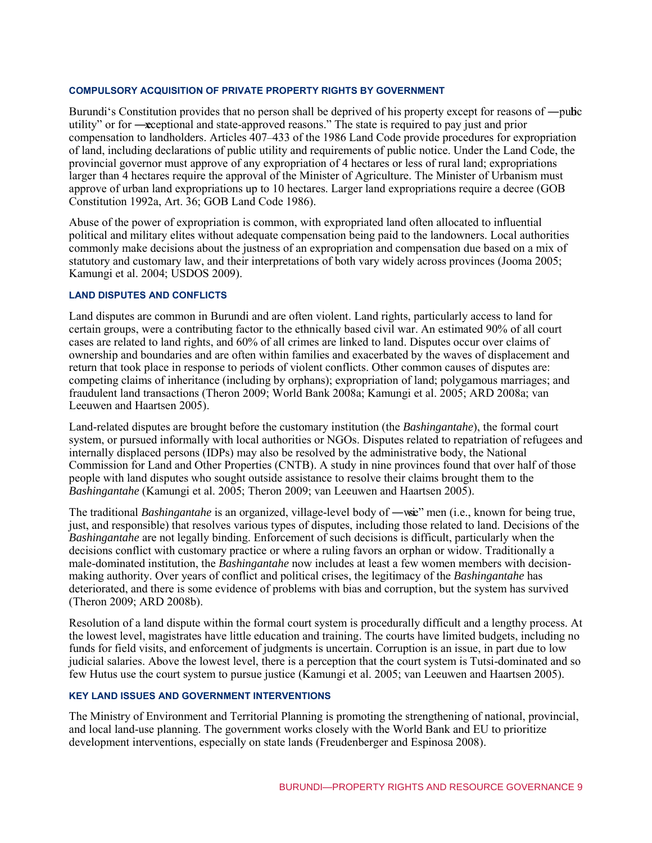#### **COMPULSORY ACQUISITION OF PRIVATE PROPERTY RIGHTS BY GOVERNMENT**

Burundi's Constitution provides that no person shall be deprived of his property except for reasons of —public utility" or for —exceptional and state-approved reasons." The state is required to pay just and prior compensation to landholders. Articles 407–433 of the 1986 Land Code provide procedures for expropriation of land, including declarations of public utility and requirements of public notice. Under the Land Code, the provincial governor must approve of any expropriation of 4 hectares or less of rural land; expropriations larger than 4 hectares require the approval of the Minister of Agriculture. The Minister of Urbanism must approve of urban land expropriations up to 10 hectares. Larger land expropriations require a decree (GOB Constitution 1992a, Art. 36; GOB Land Code 1986).

Abuse of the power of expropriation is common, with expropriated land often allocated to influential political and military elites without adequate compensation being paid to the landowners. Local authorities commonly make decisions about the justness of an expropriation and compensation due based on a mix of statutory and customary law, and their interpretations of both vary widely across provinces (Jooma 2005; Kamungi et al. 2004; USDOS 2009).

#### **LAND DISPUTES AND CONFLICTS**

Land disputes are common in Burundi and are often violent. Land rights, particularly access to land for certain groups, were a contributing factor to the ethnically based civil war. An estimated 90% of all court cases are related to land rights, and 60% of all crimes are linked to land. Disputes occur over claims of ownership and boundaries and are often within families and exacerbated by the waves of displacement and return that took place in response to periods of violent conflicts. Other common causes of disputes are: competing claims of inheritance (including by orphans); expropriation of land; polygamous marriages; and fraudulent land transactions (Theron 2009; World Bank 2008a; Kamungi et al. 2005; ARD 2008a; van Leeuwen and Haartsen 2005).

Land-related disputes are brought before the customary institution (the *Bashingantahe*), the formal court system, or pursued informally with local authorities or NGOs. Disputes related to repatriation of refugees and internally displaced persons (IDPs) may also be resolved by the administrative body, the National Commission for Land and Other Properties (CNTB). A study in nine provinces found that over half of those people with land disputes who sought outside assistance to resolve their claims brought them to the *Bashingantahe* (Kamungi et al. 2005; Theron 2009; van Leeuwen and Haartsen 2005).

The traditional *Bashingantahe* is an organized, village-level body of —wige" men (i.e., known for being true, just, and responsible) that resolves various types of disputes, including those related to land. Decisions of the *Bashingantahe* are not legally binding. Enforcement of such decisions is difficult, particularly when the decisions conflict with customary practice or where a ruling favors an orphan or widow. Traditionally a male-dominated institution, the *Bashingantahe* now includes at least a few women members with decisionmaking authority. Over years of conflict and political crises, the legitimacy of the *Bashingantahe* has deteriorated, and there is some evidence of problems with bias and corruption, but the system has survived (Theron 2009; ARD 2008b).

Resolution of a land dispute within the formal court system is procedurally difficult and a lengthy process. At the lowest level, magistrates have little education and training. The courts have limited budgets, including no funds for field visits, and enforcement of judgments is uncertain. Corruption is an issue, in part due to low judicial salaries. Above the lowest level, there is a perception that the court system is Tutsi-dominated and so few Hutus use the court system to pursue justice (Kamungi et al. 2005; van Leeuwen and Haartsen 2005).

#### **KEY LAND ISSUES AND GOVERNMENT INTERVENTIONS**

The Ministry of Environment and Territorial Planning is promoting the strengthening of national, provincial, and local land-use planning. The government works closely with the World Bank and EU to prioritize development interventions, especially on state lands (Freudenberger and Espinosa 2008).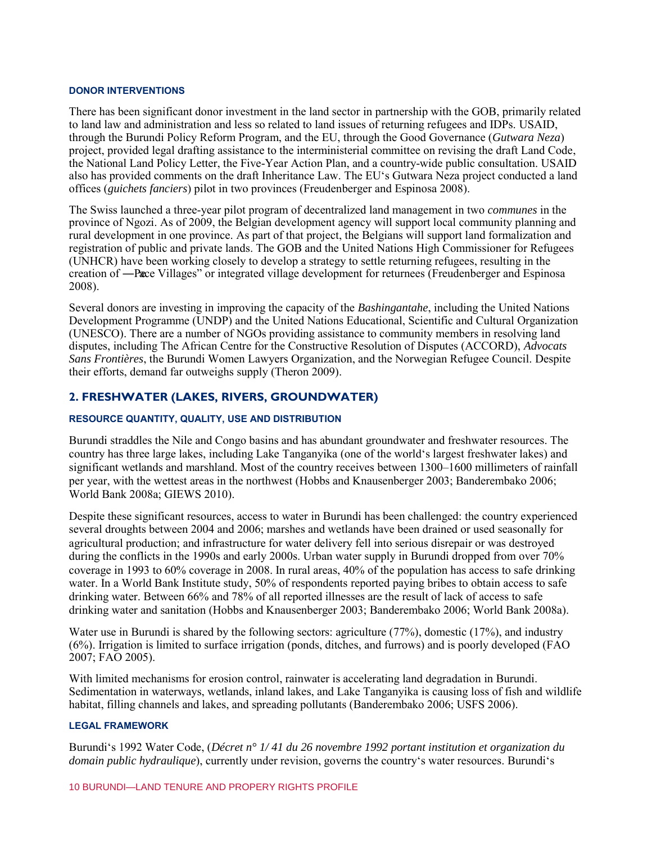#### **DONOR INTERVENTIONS**

There has been significant donor investment in the land sector in partnership with the GOB, primarily related to land law and administration and less so related to land issues of returning refugees and IDPs. USAID, through the Burundi Policy Reform Program, and the EU, through the Good Governance (*Gutwara Neza*) project, provided legal drafting assistance to the interministerial committee on revising the draft Land Code, the National Land Policy Letter, the Five-Year Action Plan, and a country-wide public consultation. USAID also has provided comments on the draft Inheritance Law. The EU's Gutwara Neza project conducted a land offices (*guichets fanciers*) pilot in two provinces (Freudenberger and Espinosa 2008).

The Swiss launched a three-year pilot program of decentralized land management in two *communes* in the province of Ngozi. As of 2009, the Belgian development agency will support local community planning and rural development in one province. As part of that project, the Belgians will support land formalization and registration of public and private lands. The GOB and the United Nations High Commissioner for Refugees (UNHCR) have been working closely to develop a strategy to settle returning refugees, resulting in the creation of —Pace Villages" or integrated village development for returnees (Freudenberger and Espinosa 2008).

Several donors are investing in improving the capacity of the *Bashingantahe*, including the United Nations Development Programme (UNDP) and the United Nations Educational, Scientific and Cultural Organization (UNESCO). There are a number of NGOs providing assistance to community members in resolving land disputes, including The African Centre for the Constructive Resolution of Disputes (ACCORD), *Advocats Sans Frontières*, the Burundi Women Lawyers Organization, and the Norwegian Refugee Council. Despite their efforts, demand far outweighs supply (Theron 2009).

## **2. FRESHWATER (LAKES, RIVERS, GROUNDWATER)**

#### **RESOURCE QUANTITY, QUALITY, USE AND DISTRIBUTION**

Burundi straddles the Nile and Congo basins and has abundant groundwater and freshwater resources. The country has three large lakes, including Lake Tanganyika (one of the world's largest freshwater lakes) and significant wetlands and marshland. Most of the country receives between 1300–1600 millimeters of rainfall per year, with the wettest areas in the northwest (Hobbs and Knausenberger 2003; Banderembako 2006; World Bank 2008a; GIEWS 2010).

Despite these significant resources, access to water in Burundi has been challenged: the country experienced several droughts between 2004 and 2006; marshes and wetlands have been drained or used seasonally for agricultural production; and infrastructure for water delivery fell into serious disrepair or was destroyed during the conflicts in the 1990s and early 2000s. Urban water supply in Burundi dropped from over 70% coverage in 1993 to 60% coverage in 2008. In rural areas, 40% of the population has access to safe drinking water. In a World Bank Institute study, 50% of respondents reported paying bribes to obtain access to safe drinking water. Between 66% and 78% of all reported illnesses are the result of lack of access to safe drinking water and sanitation (Hobbs and Knausenberger 2003; Banderembako 2006; World Bank 2008a).

Water use in Burundi is shared by the following sectors: agriculture (77%), domestic (17%), and industry (6%). Irrigation is limited to surface irrigation (ponds, ditches, and furrows) and is poorly developed (FAO 2007; FAO 2005).

With limited mechanisms for erosion control, rainwater is accelerating land degradation in Burundi. Sedimentation in waterways, wetlands, inland lakes, and Lake Tanganyika is causing loss of fish and wildlife habitat, filling channels and lakes, and spreading pollutants (Banderembako 2006; USFS 2006).

#### **LEGAL FRAMEWORK**

Burundi's 1992 Water Code, (*Décret n° 1/ 41 du 26 novembre 1992 portant institution et organization du domain public hydraulique*), currently under revision, governs the country's water resources. Burundi's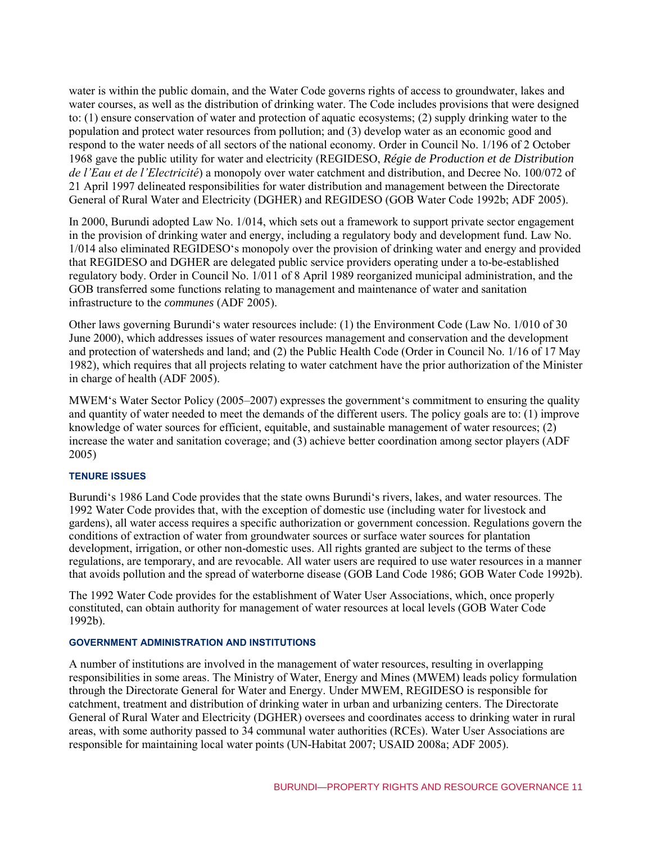water is within the public domain, and the Water Code governs rights of access to groundwater, lakes and water courses, as well as the distribution of drinking water. The Code includes provisions that were designed to: (1) ensure conservation of water and protection of aquatic ecosystems; (2) supply drinking water to the population and protect water resources from pollution; and (3) develop water as an economic good and respond to the water needs of all sectors of the national economy. Order in Council No. 1/196 of 2 October 1968 gave the public utility for water and electricity (REGIDESO, *Régie de Production et de Distribution de l'Eau et de l'Electricité*) a monopoly over water catchment and distribution, and Decree No. 100/072 of 21 April 1997 delineated responsibilities for water distribution and management between the Directorate General of Rural Water and Electricity (DGHER) and REGIDESO (GOB Water Code 1992b; ADF 2005).

In 2000, Burundi adopted Law No. 1/014, which sets out a framework to support private sector engagement in the provision of drinking water and energy, including a regulatory body and development fund. Law No. 1/014 also eliminated REGIDESO's monopoly over the provision of drinking water and energy and provided that REGIDESO and DGHER are delegated public service providers operating under a to-be-established regulatory body. Order in Council No. 1/011 of 8 April 1989 reorganized municipal administration, and the GOB transferred some functions relating to management and maintenance of water and sanitation infrastructure to the *communes* (ADF 2005).

Other laws governing Burundi's water resources include: (1) the Environment Code (Law No. 1/010 of 30 June 2000), which addresses issues of water resources management and conservation and the development and protection of watersheds and land; and (2) the Public Health Code (Order in Council No. 1/16 of 17 May 1982), which requires that all projects relating to water catchment have the prior authorization of the Minister in charge of health (ADF 2005).

MWEM's Water Sector Policy (2005–2007) expresses the government's commitment to ensuring the quality and quantity of water needed to meet the demands of the different users. The policy goals are to: (1) improve knowledge of water sources for efficient, equitable, and sustainable management of water resources; (2) increase the water and sanitation coverage; and (3) achieve better coordination among sector players (ADF 2005)

#### **TENURE ISSUES**

Burundi's 1986 Land Code provides that the state owns Burundi's rivers, lakes, and water resources. The 1992 Water Code provides that, with the exception of domestic use (including water for livestock and gardens), all water access requires a specific authorization or government concession. Regulations govern the conditions of extraction of water from groundwater sources or surface water sources for plantation development, irrigation, or other non-domestic uses. All rights granted are subject to the terms of these regulations, are temporary, and are revocable. All water users are required to use water resources in a manner that avoids pollution and the spread of waterborne disease (GOB Land Code 1986; GOB Water Code 1992b).

The 1992 Water Code provides for the establishment of Water User Associations, which, once properly constituted, can obtain authority for management of water resources at local levels (GOB Water Code 1992b).

#### **GOVERNMENT ADMINISTRATION AND INSTITUTIONS**

A number of institutions are involved in the management of water resources, resulting in overlapping responsibilities in some areas. The Ministry of Water, Energy and Mines (MWEM) leads policy formulation through the Directorate General for Water and Energy. Under MWEM, REGIDESO is responsible for catchment, treatment and distribution of drinking water in urban and urbanizing centers. The Directorate General of Rural Water and Electricity (DGHER) oversees and coordinates access to drinking water in rural areas, with some authority passed to 34 communal water authorities (RCEs). Water User Associations are responsible for maintaining local water points (UN-Habitat 2007; USAID 2008a; ADF 2005).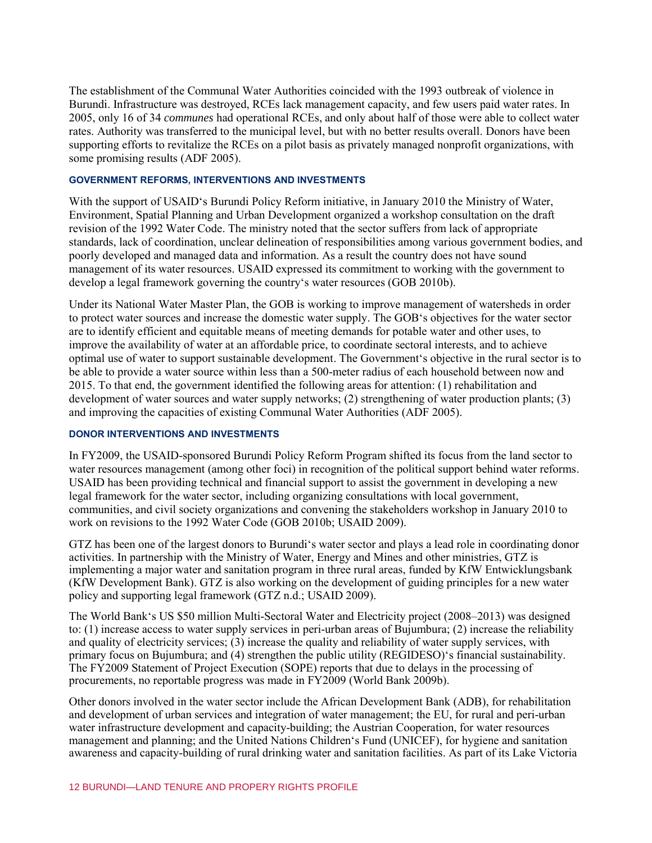The establishment of the Communal Water Authorities coincided with the 1993 outbreak of violence in Burundi. Infrastructure was destroyed, RCEs lack management capacity, and few users paid water rates. In 2005, only 16 of 34 *communes* had operational RCEs, and only about half of those were able to collect water rates. Authority was transferred to the municipal level, but with no better results overall. Donors have been supporting efforts to revitalize the RCEs on a pilot basis as privately managed nonprofit organizations, with some promising results (ADF 2005).

#### **GOVERNMENT REFORMS, INTERVENTIONS AND INVESTMENTS**

With the support of USAID's Burundi Policy Reform initiative, in January 2010 the Ministry of Water, Environment, Spatial Planning and Urban Development organized a workshop consultation on the draft revision of the 1992 Water Code. The ministry noted that the sector suffers from lack of appropriate standards, lack of coordination, unclear delineation of responsibilities among various government bodies, and poorly developed and managed data and information. As a result the country does not have sound management of its water resources. USAID expressed its commitment to working with the government to develop a legal framework governing the country's water resources (GOB 2010b).

Under its National Water Master Plan, the GOB is working to improve management of watersheds in order to protect water sources and increase the domestic water supply. The GOB's objectives for the water sector are to identify efficient and equitable means of meeting demands for potable water and other uses, to improve the availability of water at an affordable price, to coordinate sectoral interests, and to achieve optimal use of water to support sustainable development. The Government's objective in the rural sector is to be able to provide a water source within less than a 500-meter radius of each household between now and 2015. To that end, the government identified the following areas for attention: (1) rehabilitation and development of water sources and water supply networks; (2) strengthening of water production plants; (3) and improving the capacities of existing Communal Water Authorities (ADF 2005).

#### **DONOR INTERVENTIONS AND INVESTMENTS**

In FY2009, the USAID-sponsored Burundi Policy Reform Program shifted its focus from the land sector to water resources management (among other foci) in recognition of the political support behind water reforms. USAID has been providing technical and financial support to assist the government in developing a new legal framework for the water sector, including organizing consultations with local government, communities, and civil society organizations and convening the stakeholders workshop in January 2010 to work on revisions to the 1992 Water Code (GOB 2010b; USAID 2009).

GTZ has been one of the largest donors to Burundi's water sector and plays a lead role in coordinating donor activities. In partnership with the Ministry of Water, Energy and Mines and other ministries, GTZ is implementing a major water and sanitation program in three rural areas, funded by KfW Entwicklungsbank (KfW Development Bank). GTZ is also working on the development of guiding principles for a new water policy and supporting legal framework (GTZ n.d.; USAID 2009).

The World Bank's US \$50 million Multi-Sectoral Water and Electricity project (2008–2013) was designed to: (1) increase access to water supply services in peri-urban areas of Bujumbura; (2) increase the reliability and quality of electricity services; (3) increase the quality and reliability of water supply services, with primary focus on Bujumbura; and (4) strengthen the public utility (REGIDESO)'s financial sustainability. The FY2009 Statement of Project Execution (SOPE) reports that due to delays in the processing of procurements, no reportable progress was made in FY2009 (World Bank 2009b).

Other donors involved in the water sector include the African Development Bank (ADB), for rehabilitation and development of urban services and integration of water management; the EU, for rural and peri-urban water infrastructure development and capacity-building; the Austrian Cooperation, for water resources management and planning; and the United Nations Children's Fund (UNICEF), for hygiene and sanitation awareness and capacity-building of rural drinking water and sanitation facilities. As part of its Lake Victoria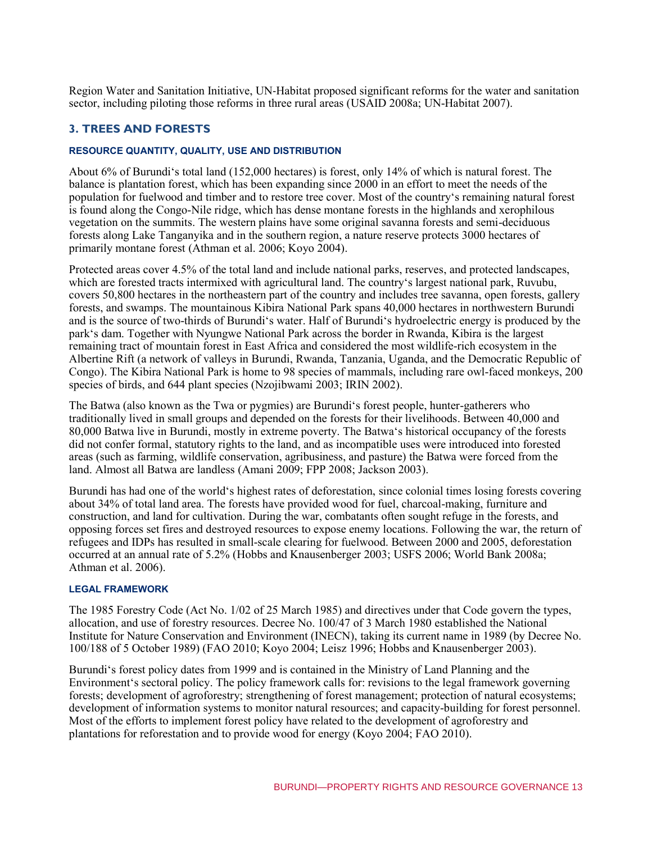Region Water and Sanitation Initiative, UN-Habitat proposed significant reforms for the water and sanitation sector, including piloting those reforms in three rural areas (USAID 2008a; UN-Habitat 2007).

# **3. TREES AND FORESTS**

#### **RESOURCE QUANTITY, QUALITY, USE AND DISTRIBUTION**

About 6% of Burundi's total land (152,000 hectares) is forest, only 14% of which is natural forest. The balance is plantation forest, which has been expanding since 2000 in an effort to meet the needs of the population for fuelwood and timber and to restore tree cover. Most of the country's remaining natural forest is found along the Congo-Nile ridge, which has dense montane forests in the highlands and xerophilous vegetation on the summits. The western plains have some original savanna forests and semi-deciduous forests along Lake Tanganyika and in the southern region, a nature reserve protects 3000 hectares of primarily montane forest (Athman et al. 2006; Koyo 2004).

Protected areas cover 4.5% of the total land and include national parks, reserves, and protected landscapes, which are forested tracts intermixed with agricultural land. The country's largest national park, Ruvubu, covers 50,800 hectares in the northeastern part of the country and includes tree savanna, open forests, gallery forests, and swamps. The mountainous Kibira National Park spans 40,000 hectares in northwestern Burundi and is the source of two-thirds of Burundi's water. Half of Burundi's hydroelectric energy is produced by the park's dam. Together with Nyungwe National Park across the border in Rwanda, Kibira is the largest remaining tract of mountain forest in East Africa and considered the most wildlife-rich ecosystem in the Albertine Rift (a network of valleys in Burundi, Rwanda, Tanzania, Uganda, and the Democratic Republic of Congo). The Kibira National Park is home to 98 species of mammals, including rare owl-faced monkeys, 200 species of birds, and 644 plant species (Nzojibwami 2003; IRIN 2002).

The Batwa (also known as the Twa or pygmies) are Burundi's forest people, hunter-gatherers who traditionally lived in small groups and depended on the forests for their livelihoods. Between 40,000 and 80,000 Batwa live in Burundi, mostly in extreme poverty. The Batwa's historical occupancy of the forests did not confer formal, statutory rights to the land, and as incompatible uses were introduced into forested areas (such as farming, wildlife conservation, agribusiness, and pasture) the Batwa were forced from the land. Almost all Batwa are landless (Amani 2009; FPP 2008; Jackson 2003).

Burundi has had one of the world's highest rates of deforestation, since colonial times losing forests covering about 34% of total land area. The forests have provided wood for fuel, charcoal-making, furniture and construction, and land for cultivation. During the war, combatants often sought refuge in the forests, and opposing forces set fires and destroyed resources to expose enemy locations. Following the war, the return of refugees and IDPs has resulted in small-scale clearing for fuelwood. Between 2000 and 2005, deforestation occurred at an annual rate of 5.2% (Hobbs and Knausenberger 2003; USFS 2006; World Bank 2008a; Athman et al. 2006).

#### **LEGAL FRAMEWORK**

The 1985 Forestry Code (Act No. 1/02 of 25 March 1985) and directives under that Code govern the types, allocation, and use of forestry resources. Decree No. 100/47 of 3 March 1980 established the National Institute for Nature Conservation and Environment (INECN), taking its current name in 1989 (by Decree No. 100/188 of 5 October 1989) (FAO 2010; Koyo 2004; Leisz 1996; Hobbs and Knausenberger 2003).

Burundi's forest policy dates from 1999 and is contained in the Ministry of Land Planning and the Environment's sectoral policy. The policy framework calls for: revisions to the legal framework governing forests; development of agroforestry; strengthening of forest management; protection of natural ecosystems; development of information systems to monitor natural resources; and capacity-building for forest personnel. Most of the efforts to implement forest policy have related to the development of agroforestry and plantations for reforestation and to provide wood for energy (Koyo 2004; FAO 2010).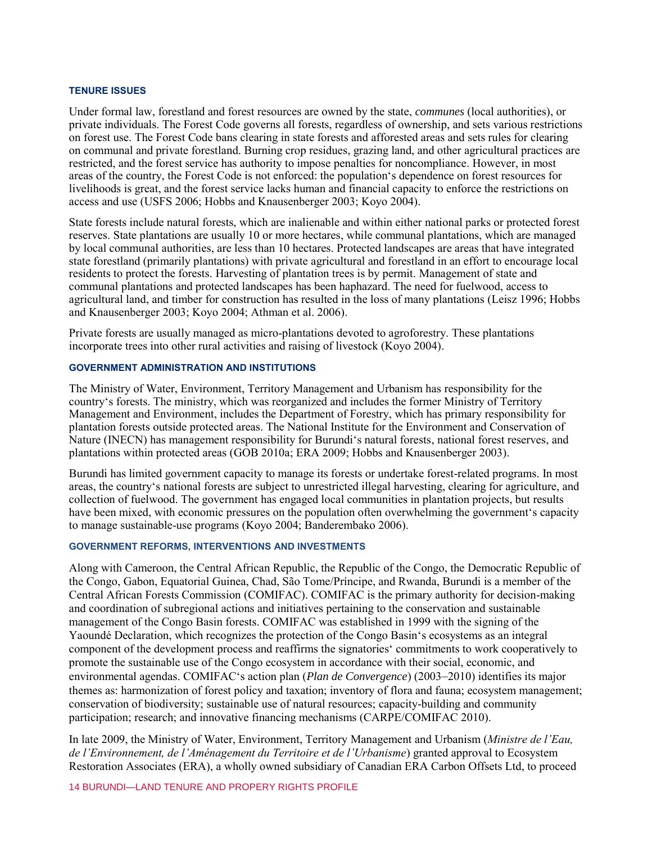#### **TENURE ISSUES**

Under formal law, forestland and forest resources are owned by the state, *communes* (local authorities), or private individuals. The Forest Code governs all forests, regardless of ownership, and sets various restrictions on forest use. The Forest Code bans clearing in state forests and afforested areas and sets rules for clearing on communal and private forestland. Burning crop residues, grazing land, and other agricultural practices are restricted, and the forest service has authority to impose penalties for noncompliance. However, in most areas of the country, the Forest Code is not enforced: the population's dependence on forest resources for livelihoods is great, and the forest service lacks human and financial capacity to enforce the restrictions on access and use (USFS 2006; Hobbs and Knausenberger 2003; Koyo 2004).

State forests include natural forests, which are inalienable and within either national parks or protected forest reserves. State plantations are usually 10 or more hectares, while communal plantations, which are managed by local communal authorities, are less than 10 hectares. Protected landscapes are areas that have integrated state forestland (primarily plantations) with private agricultural and forestland in an effort to encourage local residents to protect the forests. Harvesting of plantation trees is by permit. Management of state and communal plantations and protected landscapes has been haphazard. The need for fuelwood, access to agricultural land, and timber for construction has resulted in the loss of many plantations (Leisz 1996; Hobbs and Knausenberger 2003; Koyo 2004; Athman et al. 2006).

Private forests are usually managed as micro-plantations devoted to agroforestry. These plantations incorporate trees into other rural activities and raising of livestock (Koyo 2004).

#### **GOVERNMENT ADMINISTRATION AND INSTITUTIONS**

The Ministry of Water, Environment, Territory Management and Urbanism has responsibility for the country's forests. The ministry, which was reorganized and includes the former Ministry of Territory Management and Environment, includes the Department of Forestry, which has primary responsibility for plantation forests outside protected areas. The National Institute for the Environment and Conservation of Nature (INECN) has management responsibility for Burundi's natural forests, national forest reserves, and plantations within protected areas (GOB 2010a; ERA 2009; Hobbs and Knausenberger 2003).

Burundi has limited government capacity to manage its forests or undertake forest-related programs. In most areas, the country's national forests are subject to unrestricted illegal harvesting, clearing for agriculture, and collection of fuelwood. The government has engaged local communities in plantation projects, but results have been mixed, with economic pressures on the population often overwhelming the government's capacity to manage sustainable-use programs (Koyo 2004; Banderembako 2006).

#### **GOVERNMENT REFORMS, INTERVENTIONS AND INVESTMENTS**

Along with Cameroon, the Central African Republic, the Republic of the Congo, the Democratic Republic of the Congo, Gabon, Equatorial Guinea, Chad, São Tome/Príncipe, and Rwanda, Burundi is a member of the Central African Forests Commission (COMIFAC). COMIFAC is the primary authority for decision-making and coordination of subregional actions and initiatives pertaining to the conservation and sustainable management of the Congo Basin forests. COMIFAC was established in 1999 with the signing of the Yaoundé Declaration, which recognizes the protection of the Congo Basin's ecosystems as an integral component of the development process and reaffirms the signatories' commitments to work cooperatively to promote the sustainable use of the Congo ecosystem in accordance with their social, economic, and environmental agendas. COMIFAC's action plan (*Plan de Convergence*) (2003–2010) identifies its major themes as: harmonization of forest policy and taxation; inventory of flora and fauna; ecosystem management; conservation of biodiversity; sustainable use of natural resources; capacity-building and community participation; research; and innovative financing mechanisms (CARPE/COMIFAC 2010).

In late 2009, the Ministry of Water, Environment, Territory Management and Urbanism (*Ministre de l'Eau, de l'Environnement, de l'Aménagement du Territoire et de l'Urbanisme*) granted approval to Ecosystem Restoration Associates (ERA), a wholly owned subsidiary of Canadian ERA Carbon Offsets Ltd, to proceed

14 BURUNDI—LAND TENURE AND PROPERY RIGHTS PROFILE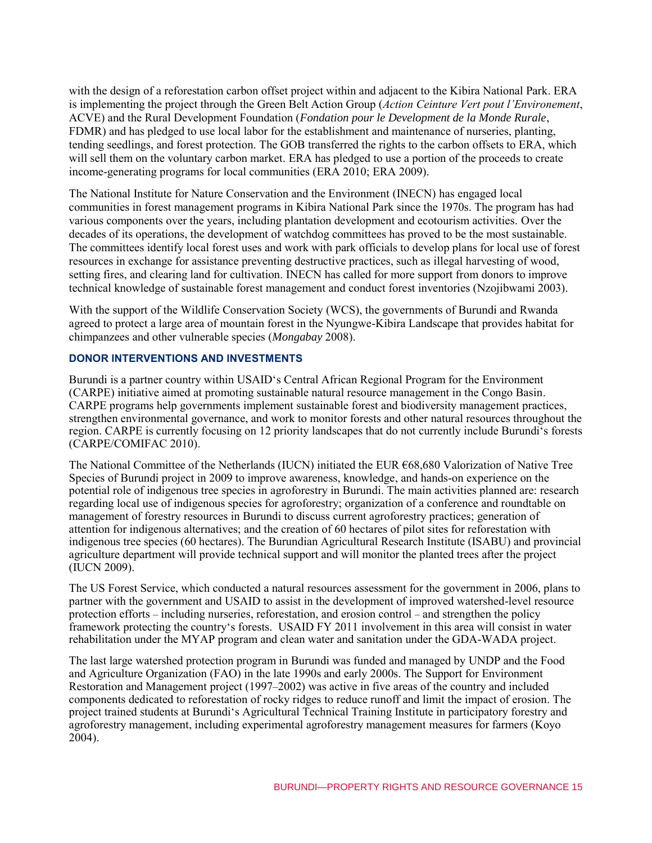with the design of a reforestation carbon offset project within and adjacent to the Kibira National Park. ERA is implementing the project through the Green Belt Action Group (*Action Ceinture Vert pout l'Environement*, ACVE) and the Rural Development Foundation (*Fondation pour le Development de la Monde Rurale*, FDMR) and has pledged to use local labor for the establishment and maintenance of nurseries, planting, tending seedlings, and forest protection. The GOB transferred the rights to the carbon offsets to ERA, which will sell them on the voluntary carbon market. ERA has pledged to use a portion of the proceeds to create income-generating programs for local communities (ERA 2010; ERA 2009).

The National Institute for Nature Conservation and the Environment (INECN) has engaged local communities in forest management programs in Kibira National Park since the 1970s. The program has had various components over the years, including plantation development and ecotourism activities. Over the decades of its operations, the development of watchdog committees has proved to be the most sustainable. The committees identify local forest uses and work with park officials to develop plans for local use of forest resources in exchange for assistance preventing destructive practices, such as illegal harvesting of wood, setting fires, and clearing land for cultivation. INECN has called for more support from donors to improve technical knowledge of sustainable forest management and conduct forest inventories (Nzojibwami 2003).

With the support of the Wildlife Conservation Society (WCS), the governments of Burundi and Rwanda agreed to protect a large area of mountain forest in the Nyungwe-Kibira Landscape that provides habitat for chimpanzees and other vulnerable species (*Mongabay* 2008).

# **DONOR INTERVENTIONS AND INVESTMENTS**

Burundi is a partner country within USAID's Central African Regional Program for the Environment (CARPE) initiative aimed at promoting sustainable natural resource management in the Congo Basin. CARPE programs help governments implement sustainable forest and biodiversity management practices, strengthen environmental governance, and work to monitor forests and other natural resources throughout the region. CARPE is currently focusing on 12 priority landscapes that do not currently include Burundi's forests (CARPE/COMIFAC 2010).

The National Committee of the Netherlands (IUCN) initiated the EUR €68,680 Valorization of Native Tree Species of Burundi project in 2009 to improve awareness, knowledge, and hands-on experience on the potential role of indigenous tree species in agroforestry in Burundi. The main activities planned are: research regarding local use of indigenous species for agroforestry; organization of a conference and roundtable on management of forestry resources in Burundi to discuss current agroforestry practices; generation of attention for indigenous alternatives; and the creation of 60 hectares of pilot sites for reforestation with indigenous tree species (60 hectares). The Burundian Agricultural Research Institute (ISABU) and provincial agriculture department will provide technical support and will monitor the planted trees after the project (IUCN 2009).

The US Forest Service, which conducted a natural resources assessment for the government in 2006, plans to partner with the government and USAID to assist in the development of improved watershed-level resource protection efforts – including nurseries, reforestation, and erosion control – and strengthen the policy framework protecting the country's forests. USAID FY 2011 involvement in this area will consist in water rehabilitation under the MYAP program and clean water and sanitation under the GDA-WADA project.

The last large watershed protection program in Burundi was funded and managed by UNDP and the Food and Agriculture Organization (FAO) in the late 1990s and early 2000s. The Support for Environment Restoration and Management project (1997–2002) was active in five areas of the country and included components dedicated to reforestation of rocky ridges to reduce runoff and limit the impact of erosion. The project trained students at Burundi's Agricultural Technical Training Institute in participatory forestry and agroforestry management, including experimental agroforestry management measures for farmers (Koyo 2004).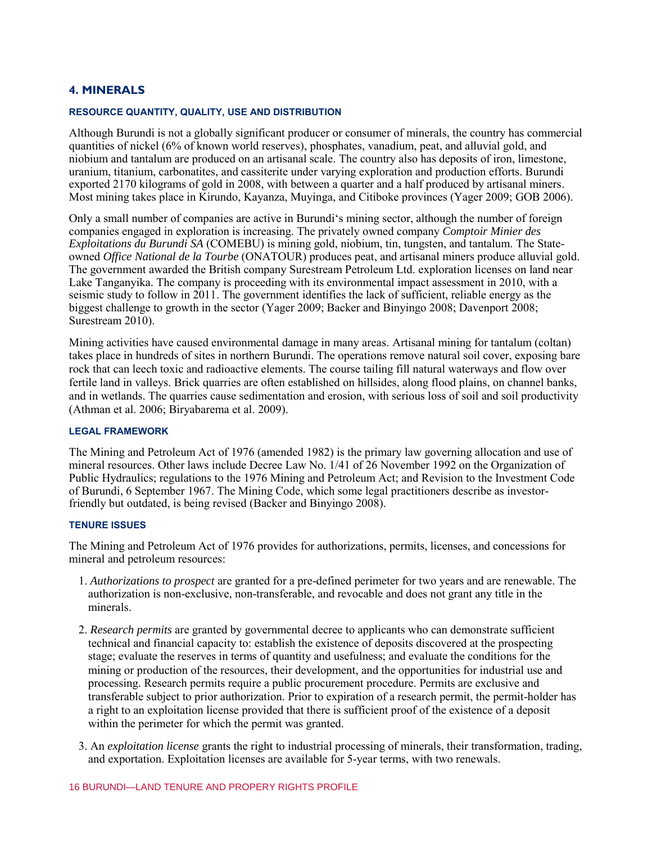# **4. MINERALS**

#### **RESOURCE QUANTITY, QUALITY, USE AND DISTRIBUTION**

Although Burundi is not a globally significant producer or consumer of minerals, the country has commercial quantities of nickel (6% of known world reserves), phosphates, vanadium, peat, and alluvial gold, and niobium and tantalum are produced on an artisanal scale. The country also has deposits of iron, limestone, uranium, titanium, carbonatites, and cassiterite under varying exploration and production efforts. Burundi exported 2170 kilograms of gold in 2008, with between a quarter and a half produced by artisanal miners. Most mining takes place in Kirundo, Kayanza, Muyinga, and Citiboke provinces (Yager 2009; GOB 2006).

Only a small number of companies are active in Burundi's mining sector, although the number of foreign companies engaged in exploration is increasing. The privately owned company *Comptoir Minier des Exploitations du Burundi SA* (COMEBU) is mining gold, niobium, tin, tungsten, and tantalum. The Stateowned *Office National de la Tourbe* (ONATOUR) produces peat, and artisanal miners produce alluvial gold. The government awarded the British company Surestream Petroleum Ltd. exploration licenses on land near Lake Tanganyika. The company is proceeding with its environmental impact assessment in 2010, with a seismic study to follow in 2011. The government identifies the lack of sufficient, reliable energy as the biggest challenge to growth in the sector (Yager 2009; Backer and Binyingo 2008; Davenport 2008; Surestream 2010).

Mining activities have caused environmental damage in many areas. Artisanal mining for tantalum (coltan) takes place in hundreds of sites in northern Burundi. The operations remove natural soil cover, exposing bare rock that can leech toxic and radioactive elements. The course tailing fill natural waterways and flow over fertile land in valleys. Brick quarries are often established on hillsides, along flood plains, on channel banks, and in wetlands. The quarries cause sedimentation and erosion, with serious loss of soil and soil productivity (Athman et al. 2006; Biryabarema et al. 2009).

#### **LEGAL FRAMEWORK**

The Mining and Petroleum Act of 1976 (amended 1982) is the primary law governing allocation and use of mineral resources. Other laws include Decree Law No. 1/41 of 26 November 1992 on the Organization of Public Hydraulics; regulations to the 1976 Mining and Petroleum Act; and Revision to the Investment Code of Burundi, 6 September 1967. The Mining Code, which some legal practitioners describe as investorfriendly but outdated, is being revised (Backer and Binyingo 2008).

#### **TENURE ISSUES**

The Mining and Petroleum Act of 1976 provides for authorizations, permits, licenses, and concessions for mineral and petroleum resources:

- 1. *Authorizations to prospect* are granted for a pre-defined perimeter for two years and are renewable. The authorization is non-exclusive, non-transferable, and revocable and does not grant any title in the minerals.
- 2. *Research permits* are granted by governmental decree to applicants who can demonstrate sufficient technical and financial capacity to: establish the existence of deposits discovered at the prospecting stage; evaluate the reserves in terms of quantity and usefulness; and evaluate the conditions for the mining or production of the resources, their development, and the opportunities for industrial use and processing. Research permits require a public procurement procedure. Permits are exclusive and transferable subject to prior authorization. Prior to expiration of a research permit, the permit-holder has a right to an exploitation license provided that there is sufficient proof of the existence of a deposit within the perimeter for which the permit was granted.
- 3. An *exploitation license* grants the right to industrial processing of minerals, their transformation, trading, and exportation. Exploitation licenses are available for 5-year terms, with two renewals.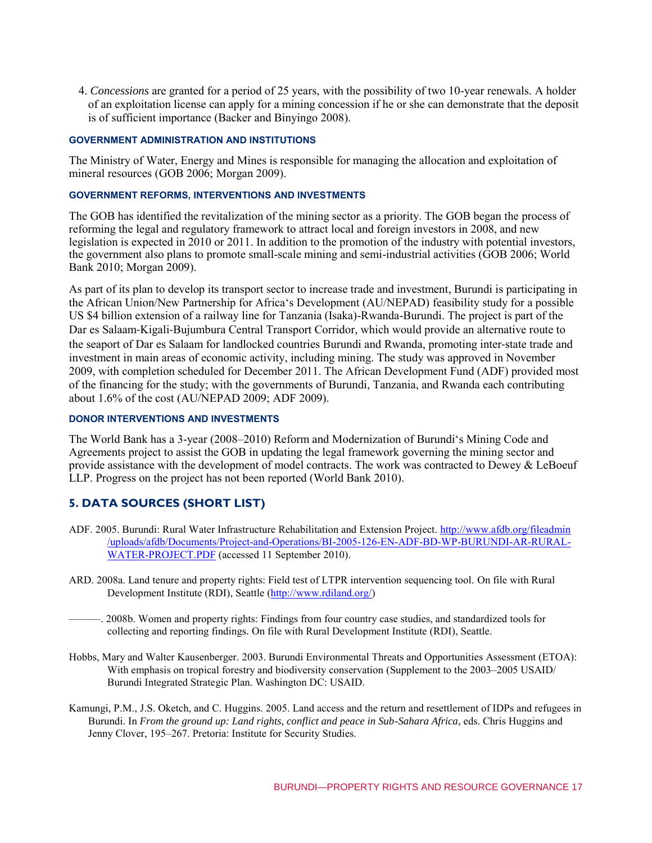4. *Concessions* are granted for a period of 25 years, with the possibility of two 10-year renewals. A holder of an exploitation license can apply for a mining concession if he or she can demonstrate that the deposit is of sufficient importance (Backer and Binyingo 2008).

#### **GOVERNMENT ADMINISTRATION AND INSTITUTIONS**

The Ministry of Water, Energy and Mines is responsible for managing the allocation and exploitation of mineral resources (GOB 2006; Morgan 2009).

#### **GOVERNMENT REFORMS, INTERVENTIONS AND INVESTMENTS**

The GOB has identified the revitalization of the mining sector as a priority. The GOB began the process of reforming the legal and regulatory framework to attract local and foreign investors in 2008, and new legislation is expected in 2010 or 2011. In addition to the promotion of the industry with potential investors, the government also plans to promote small-scale mining and semi-industrial activities (GOB 2006; World Bank 2010; Morgan 2009).

As part of its plan to develop its transport sector to increase trade and investment, Burundi is participating in the African Union/New Partnership for Africa's Development (AU/NEPAD) feasibility study for a possible US \$4 billion extension of a railway line for Tanzania (Isaka)-Rwanda-Burundi. The project is part of the Dar es Salaam‐Kigali‐Bujumbura Central Transport Corridor, which would provide an alternative route to the seaport of Dar es Salaam for landlocked countries Burundi and Rwanda, promoting inter‐state trade and investment in main areas of economic activity, including mining. The study was approved in November 2009, with completion scheduled for December 2011. The African Development Fund (ADF) provided most of the financing for the study; with the governments of Burundi, Tanzania, and Rwanda each contributing about 1.6% of the cost (AU/NEPAD 2009; ADF 2009).

#### **DONOR INTERVENTIONS AND INVESTMENTS**

The World Bank has a 3-year (2008–2010) Reform and Modernization of Burundi's Mining Code and Agreements project to assist the GOB in updating the legal framework governing the mining sector and provide assistance with the development of model contracts. The work was contracted to Dewey & LeBoeuf LLP. Progress on the project has not been reported (World Bank 2010).

# **5. DATA SOURCES (SHORT LIST)**

- ADF. 2005. Burundi: Rural Water Infrastructure Rehabilitation and Extension Project. [http://www.afdb.org/fileadmin](http://www.afdb.org/fileadmin/uploads/afdb/Documents/Project-and-Operations/BI-2005-126-EN-ADF-BD-WP-BURUNDI-AR-RURAL-WATER-PROJECT.PDF) [/uploads/afdb/Documents/Project-and-Operations/BI-2005-126-EN-ADF-BD-WP-BURUNDI-AR-RURAL-](http://www.afdb.org/fileadmin/uploads/afdb/Documents/Project-and-Operations/BI-2005-126-EN-ADF-BD-WP-BURUNDI-AR-RURAL-WATER-PROJECT.PDF)[WATER-PROJECT.PDF](http://www.afdb.org/fileadmin/uploads/afdb/Documents/Project-and-Operations/BI-2005-126-EN-ADF-BD-WP-BURUNDI-AR-RURAL-WATER-PROJECT.PDF) (accessed 11 September 2010).
- ARD. 2008a. Land tenure and property rights: Field test of LTPR intervention sequencing tool. On file with Rural Development Institute (RDI), Seattle [\(http://www.rdiland.org/\)](http://www.rdiland.org/)
- ———. 2008b. Women and property rights: Findings from four country case studies, and standardized tools for collecting and reporting findings*.* On file with Rural Development Institute (RDI), Seattle.
- Hobbs, Mary and Walter Kausenberger. 2003. Burundi Environmental Threats and Opportunities Assessment (ETOA): With emphasis on tropical forestry and biodiversity conservation (Supplement to the 2003–2005 USAID/ Burundi Integrated Strategic Plan. Washington DC: USAID.
- Kamungi, P.M., J.S. Oketch, and C. Huggins. 2005. Land access and the return and resettlement of IDPs and refugees in Burundi. In *From the ground up: Land rights, conflict and peace in Sub-Sahara Africa*, eds. Chris Huggins and Jenny Clover, 195–267. Pretoria: Institute for Security Studies.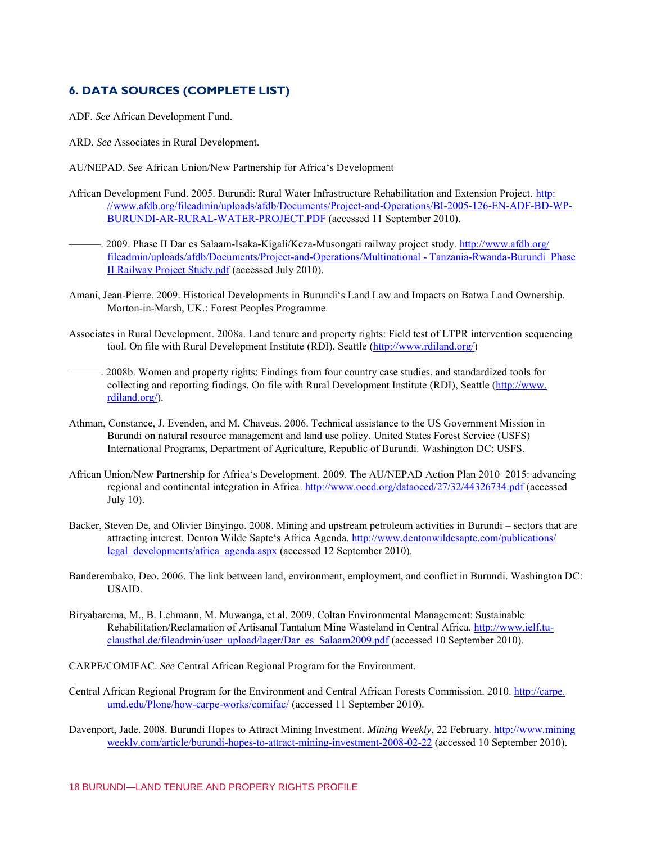# **6. DATA SOURCES (COMPLETE LIST)**

- ADF. *See* African Development Fund.
- ARD. *See* Associates in Rural Development.
- AU/NEPAD. *See* African Union/New Partnership for Africa's Development
- African Development Fund. 2005. Burundi: Rural Water Infrastructure Rehabilitation and Extension Project. [http:](http://www.afdb.org/fileadmin/uploads/afdb/Documents/Project-and-Operations/BI-2005-126-EN-ADF-BD-WP-BURUNDI-AR-RURAL-WATER-PROJECT.PDF) [//www.afdb.org/fileadmin/uploads/afdb/Documents/Project-and-Operations/BI-2005-126-EN-ADF-BD-WP-](http://www.afdb.org/fileadmin/uploads/afdb/Documents/Project-and-Operations/BI-2005-126-EN-ADF-BD-WP-BURUNDI-AR-RURAL-WATER-PROJECT.PDF)[BURUNDI-AR-RURAL-WATER-PROJECT.PDF](http://www.afdb.org/fileadmin/uploads/afdb/Documents/Project-and-Operations/BI-2005-126-EN-ADF-BD-WP-BURUNDI-AR-RURAL-WATER-PROJECT.PDF) (accessed 11 September 2010).
- ———. 2009. Phase II Dar es Salaam-Isaka-Kigali/Keza-Musongati railway project study[. http://www.afdb.org/](http://www.afdb.org/fileadmin/uploads/afdb/Documents/Project-and-Operations/Multinational%20-%20Tanzania-Rwanda-Burundi_Phase%20II%20Railway%20Project%20Study.pdf) [fileadmin/uploads/afdb/Documents/Project-and-Operations/Multinational - Tanzania-Rwanda-Burundi\\_Phase](http://www.afdb.org/fileadmin/uploads/afdb/Documents/Project-and-Operations/Multinational%20-%20Tanzania-Rwanda-Burundi_Phase%20II%20Railway%20Project%20Study.pdf)  [II Railway Project Study.pdf](http://www.afdb.org/fileadmin/uploads/afdb/Documents/Project-and-Operations/Multinational%20-%20Tanzania-Rwanda-Burundi_Phase%20II%20Railway%20Project%20Study.pdf) (accessed July 2010).
- Amani, Jean-Pierre. 2009. Historical Developments in Burundi's Land Law and Impacts on Batwa Land Ownership. Morton-in-Marsh, UK.: Forest Peoples Programme.
- Associates in Rural Development. 2008a. Land tenure and property rights: Field test of LTPR intervention sequencing tool. On file with Rural Development Institute (RDI), Seattle [\(http://www.rdiland.org/\)](http://www.rdiland.org/)
- ———. 2008b. Women and property rights: Findings from four country case studies, and standardized tools for collecting and reporting findings*.* On file with Rural Development Institute (RDI), Seattle [\(http://www.](http://www.rdiland.org/) [rdiland.org/\)](http://www.rdiland.org/).
- Athman, Constance, J. Evenden, and M. Chaveas. 2006. Technical assistance to the US Government Mission in Burundi on natural resource management and land use policy. United States Forest Service (USFS) International Programs, Department of Agriculture, Republic of Burundi. Washington DC: USFS.
- African Union/New Partnership for Africa's Development. 2009. The AU/NEPAD Action Plan 2010–2015: advancing regional and continental integration in Africa[. http://www.oecd.org/dataoecd/27/32/44326734.pdf](http://www.oecd.org/dataoecd/27/32/44326734.pdf) (accessed July 10).
- Backer, Steven De, and Olivier Binyingo. 2008. Mining and upstream petroleum activities in Burundi sectors that are attracting interest. Denton Wilde Sapte's Africa Agenda[. http://www.dentonwildesapte.com/publications/](http://www.dentonwildesapte.com/publications/legal_developments/africa_agenda.aspx) [legal\\_developments/africa\\_agenda.aspx \(](http://www.dentonwildesapte.com/publications/legal_developments/africa_agenda.aspx)accessed 12 September 2010).
- Banderembako, Deo. 2006. The link between land, environment, employment, and conflict in Burundi. Washington DC: USAID.
- Biryabarema, M., B. Lehmann, M. Muwanga, et al. 2009. Coltan Environmental Management: Sustainable Rehabilitation/Reclamation of Artisanal Tantalum Mine Wasteland in Central Africa. [http://www.ielf.tu](http://www.ielf.tu-clausthal.de/fileadmin/user_upload/lager/Dar_es_Salaam2009.pdf)[clausthal.de/fileadmin/user\\_upload/lager/Dar\\_es\\_Salaam2009.pdf](http://www.ielf.tu-clausthal.de/fileadmin/user_upload/lager/Dar_es_Salaam2009.pdf) (accessed 10 September 2010).
- CARPE/COMIFAC. *See* Central African Regional Program for the Environment.
- Central African Regional Program for the Environment and Central African Forests Commission. 2010. [http://carpe.](http://carpe.umd.edu/Plone/how-carpe-works/comifac/) [umd.edu/Plone/how-carpe-works/comifac/](http://carpe.umd.edu/Plone/how-carpe-works/comifac/) (accessed 11 September 2010).
- Davenport, Jade. 2008. Burundi Hopes to Attract Mining Investment. *Mining Weekly*, 22 February. [http://www.mining](http://www.miningweekly.com/article/burundi-hopes-to-attract-mining-investment-2008-02-22) [weekly.com/article/burundi-hopes-to-attract-mining-investment-2008-02-22](http://www.miningweekly.com/article/burundi-hopes-to-attract-mining-investment-2008-02-22) (accessed 10 September 2010).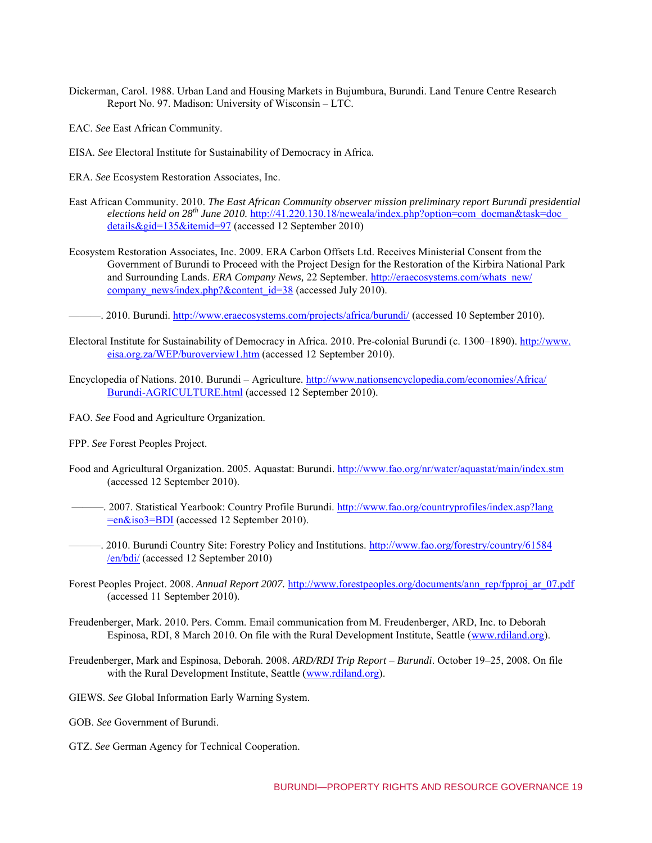- Dickerman, Carol. 1988. Urban Land and Housing Markets in Bujumbura, Burundi. Land Tenure Centre Research Report No. 97. Madison: University of Wisconsin – LTC.
- EAC. *See* East African Community.
- EISA. *See* Electoral Institute for Sustainability of Democracy in Africa.
- ERA. *See* Ecosystem Restoration Associates, Inc.
- East African Community. 2010. *The East African Community observer mission preliminary report Burundi presidential elections held on 28th June 2010.* [http://41.220.130.18/neweala/index.php?option=com\\_docman&task=doc\\_](http://41.220.130.18/neweala/index.php?option=com_docman&task=doc_details&gid=135&Itemid=97) [details&gid=135&itemid=97](http://41.220.130.18/neweala/index.php?option=com_docman&task=doc_details&gid=135&Itemid=97) (accessed 12 September 2010)
- Ecosystem Restoration Associates, Inc. 2009. ERA Carbon Offsets Ltd. Receives Ministerial Consent from the Government of Burundi to Proceed with the Project Design for the Restoration of the Kirbira National Park and Surrounding Lands. *ERA Company News,* 22 September. [http://eraecosystems.com/whats\\_new/](http://eraecosystems.com/whats_new/company_news/index.php?&content_id=38) [company\\_news/index.php?&content\\_id=38](http://eraecosystems.com/whats_new/company_news/index.php?&content_id=38) (accessed July 2010).
- ———. 2010. Burundi[. http://www.eraecosystems.com/projects/africa/burundi/](http://www.eraecosystems.com/projects/africa/burundi/) (accessed 10 September 2010).
- Electoral Institute for Sustainability of Democracy in Africa. 2010. Pre-colonial Burundi (c. 1300–1890). [http://www.](http://www.eisa.org.za/WEP/buroverview1.htm) [eisa.org.za/WEP/buroverview1.htm](http://www.eisa.org.za/WEP/buroverview1.htm) (accessed 12 September 2010).
- Encyclopedia of Nations. 2010. Burundi Agriculture. [http://www.nationsencyclopedia.com/economies/Africa/](http://www.nationsencyclopedia.com/economies/Africa/Burundi-AGRICULTURE.html) [Burundi-AGRICULTURE.html \(](http://www.nationsencyclopedia.com/economies/Africa/Burundi-AGRICULTURE.html)accessed 12 September 2010).
- FAO. *See* Food and Agriculture Organization.
- FPP. *See* Forest Peoples Project.
- Food and Agricultural Organization. 2005. Aquastat: Burundi.<http://www.fao.org/nr/water/aquastat/main/index.stm> (accessed 12 September 2010).
- ———. 2007. Statistical Yearbook: Country Profile Burundi[. http://www.fao.org/countryprofiles/index.asp?lang](http://www.fao.org/countryprofiles/index.asp?lang=en&iso3=BDI) [=en&iso3=BDI](http://www.fao.org/countryprofiles/index.asp?lang=en&iso3=BDI) (accessed 12 September 2010).
- ———. 2010. Burundi Country Site: Forestry Policy and Institutions. [http://www.fao.org/forestry/country/61584](http://www.fao.org/forestry/country/61584/en/bdi/) [/en/bdi/ \(](http://www.fao.org/forestry/country/61584/en/bdi/)accessed 12 September 2010)
- Forest Peoples Project. 2008. *Annual Report 2007.* [http://www.forestpeoples.org/documents/ann\\_rep/fpproj\\_ar\\_07.pdf](http://www.forestpeoples.org/documents/ann_rep/fpproj_ar_07.pdf)  (accessed 11 September 2010).
- Freudenberger, Mark. 2010. Pers. Comm. Email communication from M. Freudenberger, ARD, Inc. to Deborah Espinosa, RDI, 8 March 2010. On file with the Rural Development Institute, Seattle [\(www.rdiland.org\)](http://www.rdiland.org/).
- Freudenberger, Mark and Espinosa, Deborah. 2008. *ARD/RDI Trip Report Burundi*. October 19–25, 2008. On file with the Rural Development Institute, Seattle [\(www.rdiland.org\)](http://www.rdiland.org/).
- GIEWS. *See* Global Information Early Warning System.
- GOB. *See* Government of Burundi.
- GTZ. *See* German Agency for Technical Cooperation.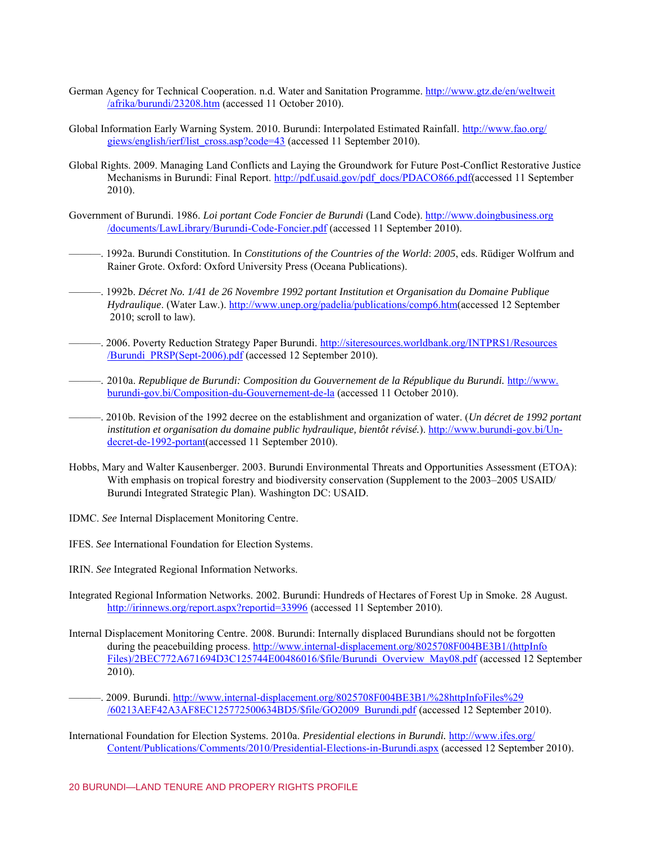- German Agency for Technical Cooperation. n.d. Water and Sanitation Programme[. http://www.gtz.de/en/weltweit](http://www.gtz.de/en/weltweit/afrika/burundi/23208.htm) [/afrika/burundi/23208.htm](http://www.gtz.de/en/weltweit/afrika/burundi/23208.htm) (accessed 11 October 2010).
- Global Information Early Warning System. 2010. Burundi: Interpolated Estimated Rainfall. [http://www.fao.org/](http://www.fao.org/giews/english/ierf/list_cross.asp?code=43) [giews/english/ierf/list\\_cross.asp?code=43](http://www.fao.org/giews/english/ierf/list_cross.asp?code=43) (accessed 11 September 2010).
- Global Rights. 2009. Managing Land Conflicts and Laying the Groundwork for Future Post-Conflict Restorative Justice Mechanisms in Burundi: Final Report. [http://pdf.usaid.gov/pdf\\_docs/PDACO866.pdf\(](http://pdf.usaid.gov/pdf_docs/PDACO866.pdf)accessed 11 September 2010).
- Government of Burundi. 1986. *Loi portant Code Foncier de Burundi* (Land Code)[. http://www.doingbusiness.org](http://www.doingbusiness.org/documents/LawLibrary/Burundi-Code-Foncier.pdf) [/documents/LawLibrary/Burundi-Code-Foncier.pdf](http://www.doingbusiness.org/documents/LawLibrary/Burundi-Code-Foncier.pdf) (accessed 11 September 2010).
- ———. 1992a. Burundi Constitution. In *Constitutions of the Countries of the World*: *2005*, eds. Rüdiger Wolfrum and Rainer Grote. Oxford: Oxford University Press (Oceana Publications).
- ———. 1992b. *Décret No. 1/41 de 26 Novembre 1992 portant Institution et Organisation du Domaine Publique Hydraulique*. (Water Law.). [http://www.unep.org/padelia/publications/comp6.htm\(](http://www.unep.org/padelia/publications/comp6.htm)accessed 12 September 2010; scroll to law).
- ———. 2006. Poverty Reduction Strategy Paper Burundi. [http://siteresources.worldbank.org/INTPRS1/Resources](http://siteresources.worldbank.org/INTPRS1/Resources/Burundi_PRSP(Sept-2006).pdf) [/Burundi\\_PRSP\(Sept-2006\).pdf \(](http://siteresources.worldbank.org/INTPRS1/Resources/Burundi_PRSP(Sept-2006).pdf)accessed 12 September 2010).
- —. 2010a. *Republique de Burundi: Composition du Gouvernement de la République du Burundi.* [http://www.](http://www.burundi-gov.bi/Composition-du-Gouvernement-de-la) [burundi-gov.bi/Composition-du-Gouvernement-de-la \(](http://www.burundi-gov.bi/Composition-du-Gouvernement-de-la)accessed 11 October 2010).
- ———. 2010b. Revision of the 1992 decree on the establishment and organization of water. (*Un décret de 1992 portant institution et organisation du domaine public hydraulique, bientôt révisé.*). [http://www.burundi-gov.bi/Un](http://www.burundi-gov.bi/Un-decret-de-1992-portant)[decret-de-1992-portant\(](http://www.burundi-gov.bi/Un-decret-de-1992-portant)accessed 11 September 2010).
- Hobbs, Mary and Walter Kausenberger. 2003. Burundi Environmental Threats and Opportunities Assessment (ETOA): With emphasis on tropical forestry and biodiversity conservation (Supplement to the 2003–2005 USAID/ Burundi Integrated Strategic Plan). Washington DC: USAID.
- IDMC. *See* Internal Displacement Monitoring Centre.
- IFES. *See* International Foundation for Election Systems.
- IRIN. *See* Integrated Regional Information Networks.
- Integrated Regional Information Networks. 2002. Burundi: Hundreds of Hectares of Forest Up in Smoke. 28 August. <http://irinnews.org/report.aspx?reportid=33996>(accessed 11 September 2010).
- Internal Displacement Monitoring Centre. 2008. Burundi: Internally displaced Burundians should not be forgotten during the peacebuilding process. [http://www.internal-displacement.org/8025708F004BE3B1/\(httpInfo](http://www.internal-displacement.org/8025708F004BE3B1/(httpInfoFiles)/2BEC772A671694D3C125744E00486016/$file/Burundi_Overview_May08.pdf) [Files\)/2BEC772A671694D3C125744E00486016/\\$file/Burundi\\_Overview\\_May08.pdf \(](http://www.internal-displacement.org/8025708F004BE3B1/(httpInfoFiles)/2BEC772A671694D3C125744E00486016/$file/Burundi_Overview_May08.pdf)accessed 12 September 2010).
- —. 2009. Burundi[. http://www.internal-displacement.org/8025708F004BE3B1/%28httpInfoFiles%29](http://www.internal-displacement.org/8025708F004BE3B1/%28httpInfoFiles%29/60213AEF42A3AF8EC125772500634BD5/$file/GO2009_Burundi.pdf) [/60213AEF42A3AF8EC125772500634BD5/\\$file/GO2009\\_Burundi.pdf](http://www.internal-displacement.org/8025708F004BE3B1/%28httpInfoFiles%29/60213AEF42A3AF8EC125772500634BD5/$file/GO2009_Burundi.pdf) (accessed 12 September 2010).
- International Foundation for Election Systems. 2010a. *Presidential elections in Burundi.* [http://www.ifes.org/](http://www.ifes.org/Content/Publications/Comments/2010/Presidential-Elections-in-Burundi.aspx) [Content/Publications/Comments/2010/Presidential-Elections-in-Burundi.aspx](http://www.ifes.org/Content/Publications/Comments/2010/Presidential-Elections-in-Burundi.aspx) (accessed 12 September 2010).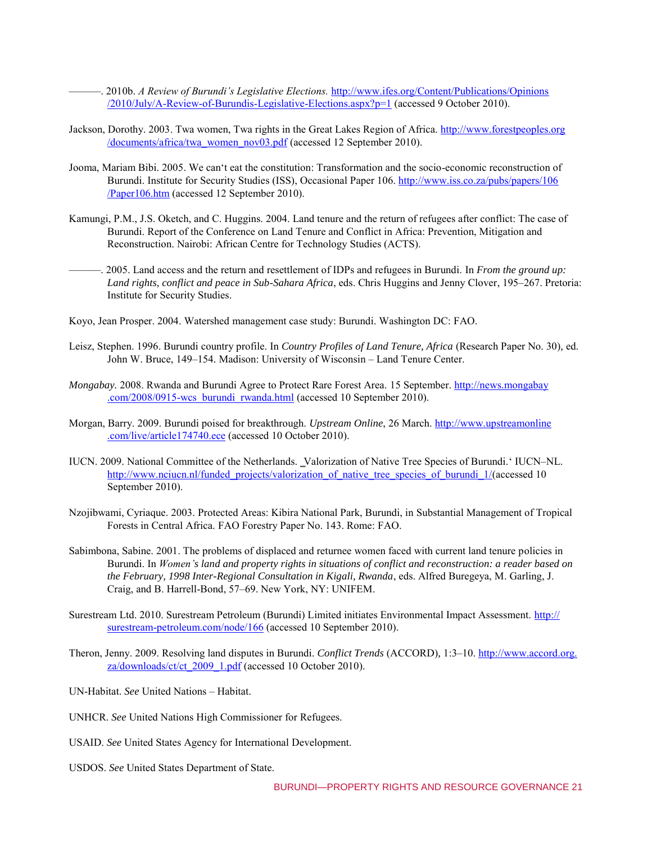———. 2010b. *A Review of Burundi's Legislative Elections.* [http://www.ifes.org/Content/Publications/Opinions](http://www.ifes.org/Content/Publications/Opinions/2010/July/A-Review-of-Burundis-Legislative-Elections.aspx?p=1) [/2010/July/A-Review-of-Burundis-Legislative-Elections.aspx?p=1](http://www.ifes.org/Content/Publications/Opinions/2010/July/A-Review-of-Burundis-Legislative-Elections.aspx?p=1) (accessed 9 October 2010).

- Jackson, Dorothy. 2003. Twa women, Twa rights in the Great Lakes Region of Africa. [http://www.forestpeoples.org](http://www.forestpeoples.org/documents/africa/twa_women_nov03.pdf) [/documents/africa/twa\\_women\\_nov03.pdf](http://www.forestpeoples.org/documents/africa/twa_women_nov03.pdf) (accessed 12 September 2010).
- Jooma, Mariam Bibi. 2005. We can't eat the constitution: Transformation and the socio-economic reconstruction of Burundi. Institute for Security Studies (ISS), Occasional Paper 106. [http://www.iss.co.za/pubs/papers/106](http://www.iss.co.za/pubs/papers/106/Paper106.htm) [/Paper106.htm \(](http://www.iss.co.za/pubs/papers/106/Paper106.htm)accessed 12 September 2010).
- Kamungi, P.M., J.S. Oketch, and C. Huggins. 2004. Land tenure and the return of refugees after conflict: The case of Burundi. Report of the Conference on Land Tenure and Conflict in Africa: Prevention, Mitigation and Reconstruction. Nairobi: African Centre for Technology Studies (ACTS).
- ———. 2005. Land access and the return and resettlement of IDPs and refugees in Burundi. In *From the ground up: Land rights, conflict and peace in Sub-Sahara Africa*, eds. Chris Huggins and Jenny Clover, 195–267. Pretoria: Institute for Security Studies.

Koyo, Jean Prosper. 2004. Watershed management case study: Burundi. Washington DC: FAO.

- Leisz, Stephen. 1996. Burundi country profile. In *Country Profiles of Land Tenure, Africa* (Research Paper No. 30)*,* ed. John W. Bruce, 149–154*.* Madison: University of Wisconsin – Land Tenure Center.
- *Mongabay.* 2008. Rwanda and Burundi Agree to Protect Rare Forest Area. 15 September[. http://news.mongabay](http://news.mongabay.com/2008/0915-wcs_burundi_rwanda.html) [.com/2008/0915-wcs\\_burundi\\_rwanda.html \(](http://news.mongabay.com/2008/0915-wcs_burundi_rwanda.html)accessed 10 September 2010).
- Morgan, Barry. 2009. Burundi poised for breakthrough. *Upstream Online*, 26 March. [http://www.upstreamonline](http://www.upstreamonline.com/live/article174740.ece) [.com/live/article174740.ece](http://www.upstreamonline.com/live/article174740.ece) (accessed 10 October 2010).
- IUCN. 2009. National Committee of the Netherlands. ‗Valorization of Native Tree Species of Burundi.' IUCN–NL. [http://www.nciucn.nl/funded\\_projects/valorization\\_of\\_native\\_tree\\_species\\_of\\_burundi\\_1/\(](http://www.nciucn.nl/funded_projects/valorization_of_native_tree_species_of_burundi_1/)accessed 10 September 2010).
- Nzojibwami, Cyriaque. 2003. Protected Areas: Kibira National Park, Burundi, in Substantial Management of Tropical Forests in Central Africa. FAO Forestry Paper No. 143. Rome: FAO.
- Sabimbona, Sabine. 2001. The problems of displaced and returnee women faced with current land tenure policies in Burundi. In *Women's land and property rights in situations of conflict and reconstruction: a reader based on the February, 1998 Inter-Regional Consultation in Kigali, Rwanda*, eds. Alfred Buregeya, M. Garling, J. Craig, and B. Harrell-Bond, 57–69. New York, NY: UNIFEM.
- Surestream Ltd. 2010. Surestream Petroleum (Burundi) Limited initiates Environmental Impact Assessment. [http://](http://surestream-petroleum.com/node/166) [surestream-petroleum.com/node/166](http://surestream-petroleum.com/node/166) (accessed 10 September 2010).
- Theron, Jenny. 2009. Resolving land disputes in Burundi. *Conflict Trends* (ACCORD)*,* 1:3–10. [http://www.accord.org.](http://www.accord.org.za/downloads/ct/ct_2009_1.pdf) [za/downloads/ct/ct\\_2009\\_1.pdf](http://www.accord.org.za/downloads/ct/ct_2009_1.pdf) (accessed 10 October 2010).

UN-Habitat. *See* United Nations – Habitat.

- UNHCR. *See* United Nations High Commissioner for Refugees.
- USAID. *See* United States Agency for International Development.
- USDOS. *See* United States Department of State.